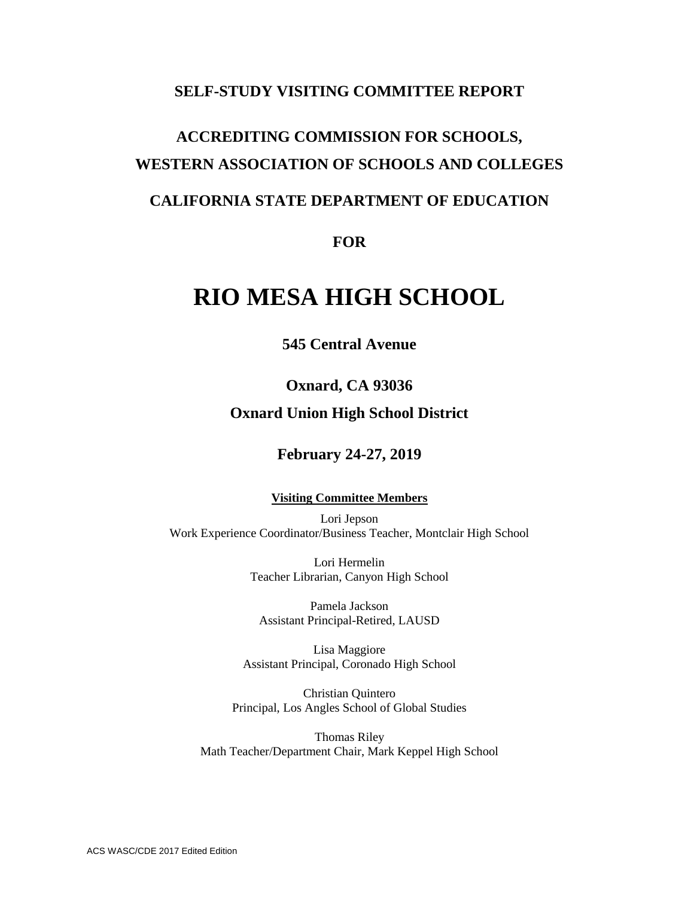## **SELF-STUDY VISITING COMMITTEE REPORT**

# **ACCREDITING COMMISSION FOR SCHOOLS, WESTERN ASSOCIATION OF SCHOOLS AND COLLEGES**

## **CALIFORNIA STATE DEPARTMENT OF EDUCATION**

**FOR**

## **RIO MESA HIGH SCHOOL**

**545 Central Avenue**

## **Oxnard, CA 93036 Oxnard Union High School District**

## **February 24-27, 2019**

#### **Visiting Committee Members**

Lori Jepson Work Experience Coordinator/Business Teacher, Montclair High School

> Lori Hermelin Teacher Librarian, Canyon High School

Pamela Jackson Assistant Principal-Retired, LAUSD

Lisa Maggiore Assistant Principal, Coronado High School

Christian Quintero Principal, Los Angles School of Global Studies

Thomas Riley Math Teacher/Department Chair, Mark Keppel High School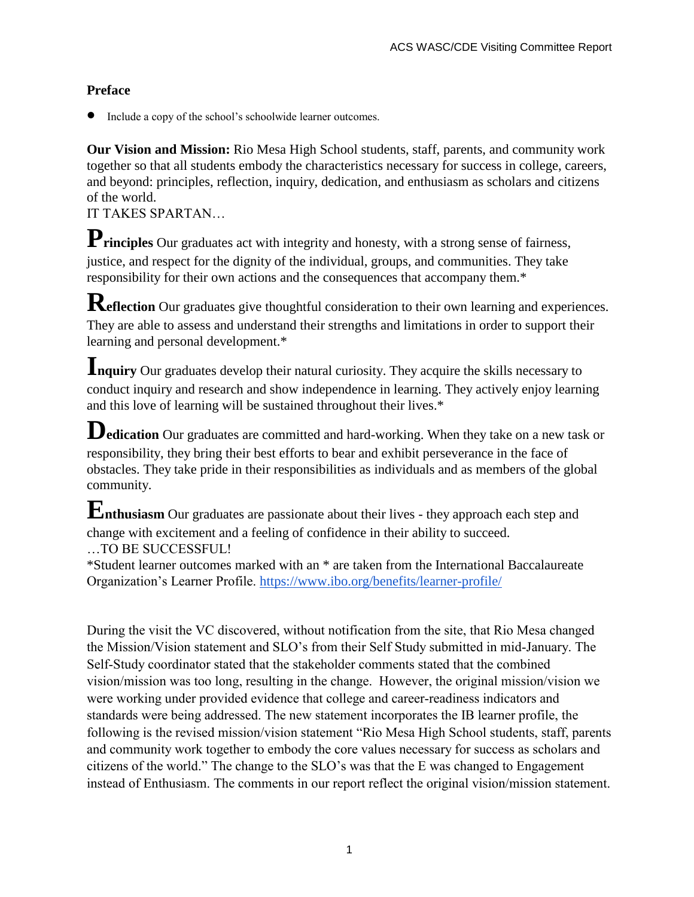## **Preface**

Include a copy of the school's schoolwide learner outcomes.

**Our Vision and Mission:** Rio Mesa High School students, staff, parents, and community work together so that all students embody the characteristics necessary for success in college, careers, and beyond: principles, reflection, inquiry, dedication, and enthusiasm as scholars and citizens of the world.

## IT TAKES SPARTAN…

**Principles** Our graduates act with integrity and honesty, with a strong sense of fairness, justice, and respect for the dignity of the individual, groups, and communities. They take responsibility for their own actions and the consequences that accompany them.\*

**Reflection** Our graduates give thoughtful consideration to their own learning and experiences. They are able to assess and understand their strengths and limitations in order to support their learning and personal development.\*

**Inquiry** Our graduates develop their natural curiosity. They acquire the skills necessary to conduct inquiry and research and show independence in learning. They actively enjoy learning and this love of learning will be sustained throughout their lives.\*

**Dedication** Our graduates are committed and hard-working. When they take on a new task or responsibility, they bring their best efforts to bear and exhibit perseverance in the face of obstacles. They take pride in their responsibilities as individuals and as members of the global community.

**Enthusiasm** Our graduates are passionate about their lives - they approach each step and change with excitement and a feeling of confidence in their ability to succeed.

…TO BE SUCCESSFUL!

\*Student learner outcomes marked with an \* are taken from the International Baccalaureate Organization's Learner Profile. <https://www.ibo.org/benefits/learner-profile/>

During the visit the VC discovered, without notification from the site, that Rio Mesa changed the Mission/Vision statement and SLO's from their Self Study submitted in mid-January. The Self-Study coordinator stated that the stakeholder comments stated that the combined vision/mission was too long, resulting in the change. However, the original mission/vision we were working under provided evidence that college and career-readiness indicators and standards were being addressed. The new statement incorporates the IB learner profile, the following is the revised mission/vision statement "Rio Mesa High School students, staff, parents and community work together to embody the core values necessary for success as scholars and citizens of the world." The change to the SLO's was that the E was changed to Engagement instead of Enthusiasm. The comments in our report reflect the original vision/mission statement.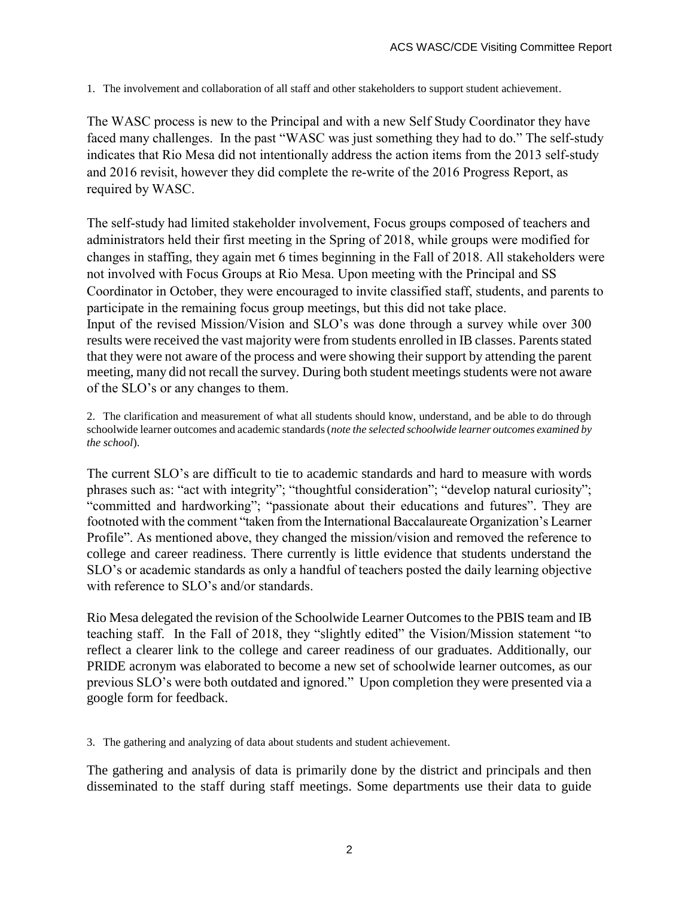1. The involvement and collaboration of all staff and other stakeholders to support student achievement.

The WASC process is new to the Principal and with a new Self Study Coordinator they have faced many challenges. In the past "WASC was just something they had to do." The self-study indicates that Rio Mesa did not intentionally address the action items from the 2013 self-study and 2016 revisit, however they did complete the re-write of the 2016 Progress Report, as required by WASC.

The self-study had limited stakeholder involvement, Focus groups composed of teachers and administrators held their first meeting in the Spring of 2018, while groups were modified for changes in staffing, they again met 6 times beginning in the Fall of 2018. All stakeholders were not involved with Focus Groups at Rio Mesa. Upon meeting with the Principal and SS Coordinator in October, they were encouraged to invite classified staff, students, and parents to participate in the remaining focus group meetings, but this did not take place. Input of the revised Mission/Vision and SLO's was done through a survey while over 300 results were received the vast majority were from students enrolled in IB classes. Parents stated that they were not aware of the process and were showing their support by attending the parent meeting, many did not recall the survey. During both student meetings students were not aware of the SLO's or any changes to them.

2. The clarification and measurement of what all students should know, understand, and be able to do through schoolwide learner outcomes and academic standards (*note the selected schoolwide learner outcomes examined by the school*).

The current SLO's are difficult to tie to academic standards and hard to measure with words phrases such as: "act with integrity"; "thoughtful consideration"; "develop natural curiosity"; "committed and hardworking"; "passionate about their educations and futures". They are footnoted with the comment "taken from the International Baccalaureate Organization's Learner Profile". As mentioned above, they changed the mission/vision and removed the reference to college and career readiness. There currently is little evidence that students understand the SLO's or academic standards as only a handful of teachers posted the daily learning objective with reference to SLO's and/or standards.

Rio Mesa delegated the revision of the Schoolwide Learner Outcomes to the PBIS team and IB teaching staff. In the Fall of 2018, they "slightly edited" the Vision/Mission statement "to reflect a clearer link to the college and career readiness of our graduates. Additionally, our PRIDE acronym was elaborated to become a new set of schoolwide learner outcomes, as our previous SLO's were both outdated and ignored." Upon completion they were presented via a google form for feedback.

3. The gathering and analyzing of data about students and student achievement.

The gathering and analysis of data is primarily done by the district and principals and then disseminated to the staff during staff meetings. Some departments use their data to guide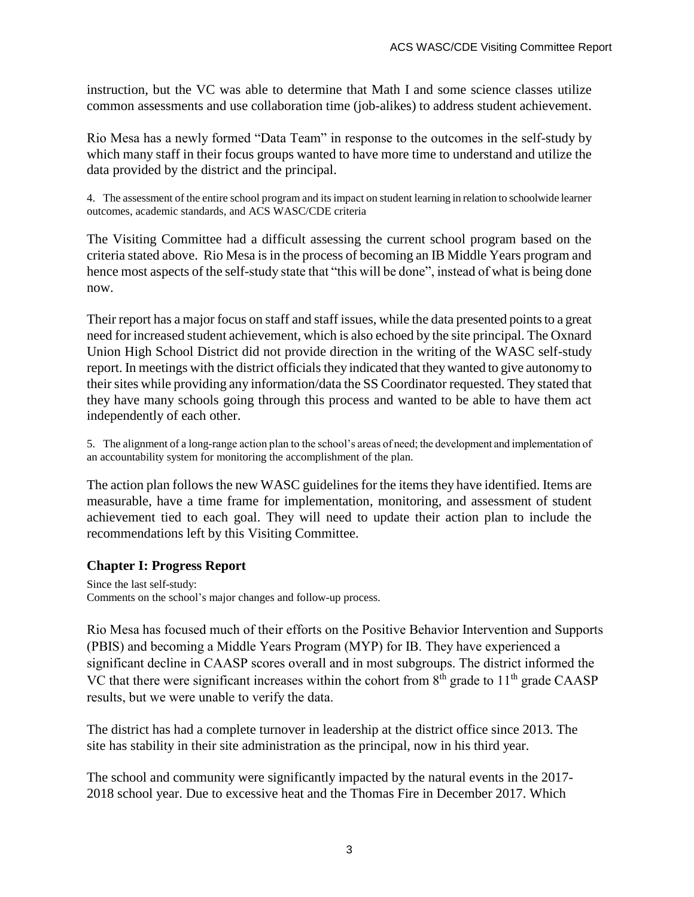instruction, but the VC was able to determine that Math I and some science classes utilize common assessments and use collaboration time (job-alikes) to address student achievement.

Rio Mesa has a newly formed "Data Team" in response to the outcomes in the self-study by which many staff in their focus groups wanted to have more time to understand and utilize the data provided by the district and the principal.

4. The assessment of the entire school program and its impact on student learning in relation to schoolwide learner outcomes, academic standards, and ACS WASC/CDE criteria

The Visiting Committee had a difficult assessing the current school program based on the criteria stated above. Rio Mesa is in the process of becoming an IB Middle Years program and hence most aspects of the self-study state that "this will be done", instead of what is being done now.

Their report has a major focus on staff and staff issues, while the data presented points to a great need for increased student achievement, which is also echoed by the site principal. The Oxnard Union High School District did not provide direction in the writing of the WASC self-study report. In meetings with the district officials they indicated that they wanted to give autonomy to their sites while providing any information/data the SS Coordinator requested. They stated that they have many schools going through this process and wanted to be able to have them act independently of each other.

5. The alignment of a long-range action plan to the school's areas of need; the development and implementation of an accountability system for monitoring the accomplishment of the plan.

The action plan follows the new WASC guidelines for the items they have identified. Items are measurable, have a time frame for implementation, monitoring, and assessment of student achievement tied to each goal. They will need to update their action plan to include the recommendations left by this Visiting Committee.

## **Chapter I: Progress Report**

Since the last self-study: Comments on the school's major changes and follow-up process.

Rio Mesa has focused much of their efforts on the Positive Behavior Intervention and Supports (PBIS) and becoming a Middle Years Program (MYP) for IB. They have experienced a significant decline in CAASP scores overall and in most subgroups. The district informed the VC that there were significant increases within the cohort from  $8<sup>th</sup>$  grade to  $11<sup>th</sup>$  grade CAASP results, but we were unable to verify the data.

The district has had a complete turnover in leadership at the district office since 2013. The site has stability in their site administration as the principal, now in his third year.

The school and community were significantly impacted by the natural events in the 2017- 2018 school year. Due to excessive heat and the Thomas Fire in December 2017. Which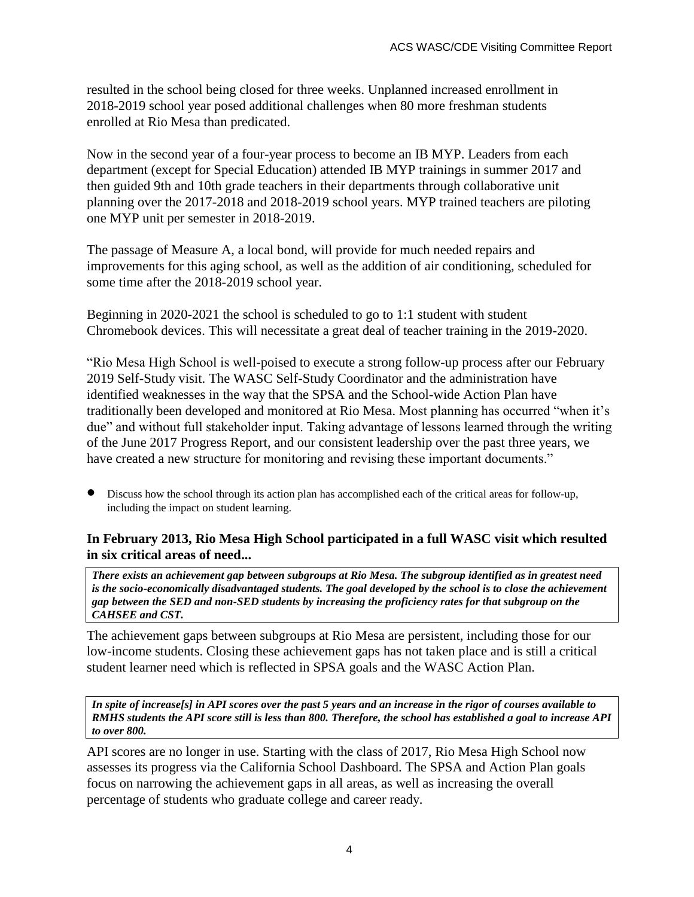resulted in the school being closed for three weeks. Unplanned increased enrollment in 2018-2019 school year posed additional challenges when 80 more freshman students enrolled at Rio Mesa than predicated.

Now in the second year of a four-year process to become an IB MYP. Leaders from each department (except for Special Education) attended IB MYP trainings in summer 2017 and then guided 9th and 10th grade teachers in their departments through collaborative unit planning over the 2017-2018 and 2018-2019 school years. MYP trained teachers are piloting one MYP unit per semester in 2018-2019.

The passage of Measure A, a local bond, will provide for much needed repairs and improvements for this aging school, as well as the addition of air conditioning, scheduled for some time after the 2018-2019 school year.

Beginning in 2020-2021 the school is scheduled to go to 1:1 student with student Chromebook devices. This will necessitate a great deal of teacher training in the 2019-2020.

"Rio Mesa High School is well-poised to execute a strong follow-up process after our February 2019 Self-Study visit. The WASC Self-Study Coordinator and the administration have identified weaknesses in the way that the SPSA and the School-wide Action Plan have traditionally been developed and monitored at Rio Mesa. Most planning has occurred "when it's due" and without full stakeholder input. Taking advantage of lessons learned through the writing of the June 2017 Progress Report, and our consistent leadership over the past three years, we have created a new structure for monitoring and revising these important documents."

 Discuss how the school through its action plan has accomplished each of the critical areas for follow-up, including the impact on student learning.

## **In February 2013, Rio Mesa High School participated in a full WASC visit which resulted in six critical areas of need...**

*There exists an achievement gap between subgroups at Rio Mesa. The subgroup identified as in greatest need is the socio-economically disadvantaged students. The goal developed by the school is to close the achievement gap between the SED and non-SED students by increasing the proficiency rates for that subgroup on the CAHSEE and CST.*

The achievement gaps between subgroups at Rio Mesa are persistent, including those for our low-income students. Closing these achievement gaps has not taken place and is still a critical student learner need which is reflected in SPSA goals and the WASC Action Plan.

*In spite of increase[s] in API scores over the past 5 years and an increase in the rigor of courses available to RMHS students the API score still is less than 800. Therefore, the school has established a goal to increase API to over 800.*

API scores are no longer in use. Starting with the class of 2017, Rio Mesa High School now assesses its progress via the California School Dashboard. The SPSA and Action Plan goals focus on narrowing the achievement gaps in all areas, as well as increasing the overall percentage of students who graduate college and career ready.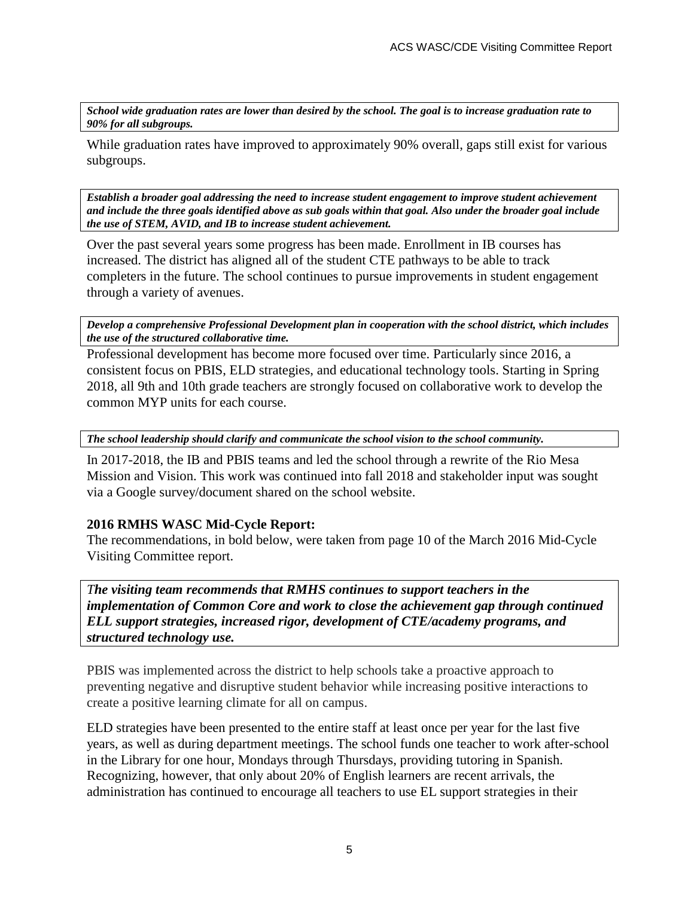*School wide graduation rates are lower than desired by the school. The goal is to increase graduation rate to 90% for all subgroups.*

While graduation rates have improved to approximately 90% overall, gaps still exist for various subgroups.

*Establish a broader goal addressing the need to increase student engagement to improve student achievement and include the three goals identified above as sub goals within that goal. Also under the broader goal include the use of STEM, AVID, and IB to increase student achievement.*

Over the past several years some progress has been made. Enrollment in IB courses has increased. The district has aligned all of the student CTE pathways to be able to track completers in the future. The school continues to pursue improvements in student engagement through a variety of avenues.

*Develop a comprehensive Professional Development plan in cooperation with the school district, which includes the use of the structured collaborative time.*

Professional development has become more focused over time. Particularly since 2016, a consistent focus on PBIS, ELD strategies, and educational technology tools. Starting in Spring 2018, all 9th and 10th grade teachers are strongly focused on collaborative work to develop the common MYP units for each course.

*The school leadership should clarify and communicate the school vision to the school community.*

In 2017-2018, the IB and PBIS teams and led the school through a rewrite of the Rio Mesa Mission and Vision. This work was continued into fall 2018 and stakeholder input was sought via a Google survey/document shared on the school website.

#### **2016 RMHS WASC Mid-Cycle Report:**

The recommendations, in bold below, were taken from page 10 of the March 2016 Mid-Cycle Visiting Committee report.

*The visiting team recommends that RMHS continues to support teachers in the implementation of Common Core and work to close the achievement gap through continued ELL support strategies, increased rigor, development of CTE/academy programs, and structured technology use.*

PBIS was implemented across the district to help schools take a proactive approach to preventing negative and disruptive student behavior while increasing positive interactions to create a positive learning climate for all on campus.

ELD strategies have been presented to the entire staff at least once per year for the last five years, as well as during department meetings. The school funds one teacher to work after-school in the Library for one hour, Mondays through Thursdays, providing tutoring in Spanish. Recognizing, however, that only about 20% of English learners are recent arrivals, the administration has continued to encourage all teachers to use EL support strategies in their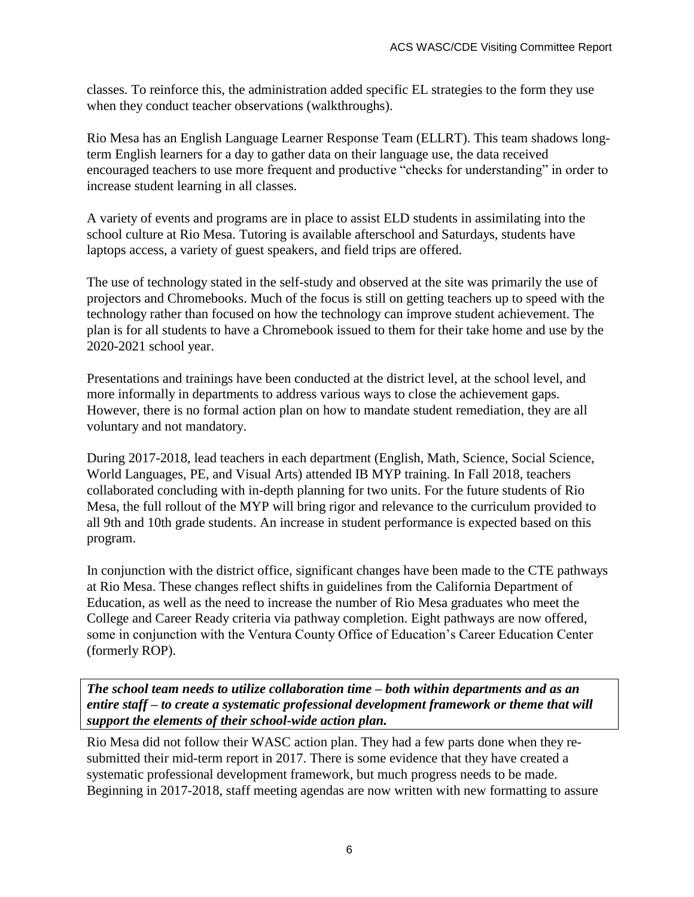classes. To reinforce this, the administration added specific EL strategies to the form they use when they conduct teacher observations (walkthroughs).

Rio Mesa has an English Language Learner Response Team (ELLRT). This team shadows longterm English learners for a day to gather data on their language use, the data received encouraged teachers to use more frequent and productive "checks for understanding" in order to increase student learning in all classes.

A variety of events and programs are in place to assist ELD students in assimilating into the school culture at Rio Mesa. Tutoring is available afterschool and Saturdays, students have laptops access, a variety of guest speakers, and field trips are offered.

The use of technology stated in the self-study and observed at the site was primarily the use of projectors and Chromebooks. Much of the focus is still on getting teachers up to speed with the technology rather than focused on how the technology can improve student achievement. The plan is for all students to have a Chromebook issued to them for their take home and use by the 2020-2021 school year.

Presentations and trainings have been conducted at the district level, at the school level, and more informally in departments to address various ways to close the achievement gaps. However, there is no formal action plan on how to mandate student remediation, they are all voluntary and not mandatory.

During 2017-2018, lead teachers in each department (English, Math, Science, Social Science, World Languages, PE, and Visual Arts) attended IB MYP training. In Fall 2018, teachers collaborated concluding with in-depth planning for two units. For the future students of Rio Mesa, the full rollout of the MYP will bring rigor and relevance to the curriculum provided to all 9th and 10th grade students. An increase in student performance is expected based on this program.

In conjunction with the district office, significant changes have been made to the CTE pathways at Rio Mesa. These changes reflect shifts in guidelines from the California Department of Education, as well as the need to increase the number of Rio Mesa graduates who meet the College and Career Ready criteria via pathway completion. Eight pathways are now offered, some in conjunction with the Ventura County Office of Education's Career Education Center (formerly ROP).

*The school team needs to utilize collaboration time – both within departments and as an entire staff – to create a systematic professional development framework or theme that will support the elements of their school-wide action plan.*

Rio Mesa did not follow their WASC action plan. They had a few parts done when they resubmitted their mid-term report in 2017. There is some evidence that they have created a systematic professional development framework, but much progress needs to be made. Beginning in 2017-2018, staff meeting agendas are now written with new formatting to assure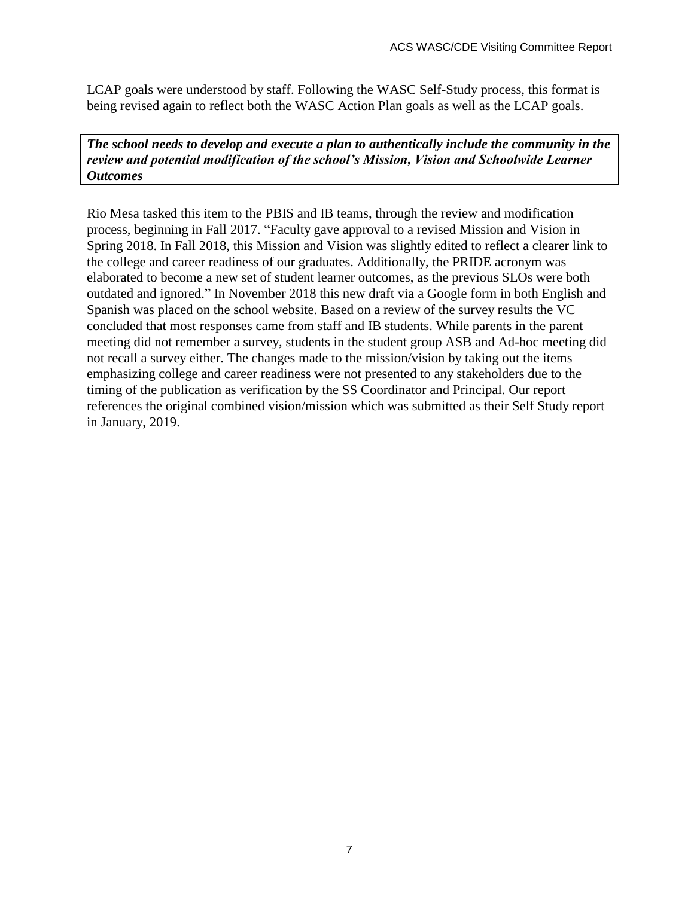LCAP goals were understood by staff. Following the WASC Self-Study process, this format is being revised again to reflect both the WASC Action Plan goals as well as the LCAP goals.

*The school needs to develop and execute a plan to authentically include the community in the review and potential modification of the school's Mission, Vision and Schoolwide Learner Outcomes*

Rio Mesa tasked this item to the PBIS and IB teams, through the review and modification process, beginning in Fall 2017. "Faculty gave approval to a revised Mission and Vision in Spring 2018. In Fall 2018, this Mission and Vision was slightly edited to reflect a clearer link to the college and career readiness of our graduates. Additionally, the PRIDE acronym was elaborated to become a new set of student learner outcomes, as the previous SLOs were both outdated and ignored." In November 2018 this new draft via a Google form in both English and Spanish was placed on the school website. Based on a review of the survey results the VC concluded that most responses came from staff and IB students. While parents in the parent meeting did not remember a survey, students in the student group ASB and Ad-hoc meeting did not recall a survey either. The changes made to the mission/vision by taking out the items emphasizing college and career readiness were not presented to any stakeholders due to the timing of the publication as verification by the SS Coordinator and Principal. Our report references the original combined vision/mission which was submitted as their Self Study report in January, 2019.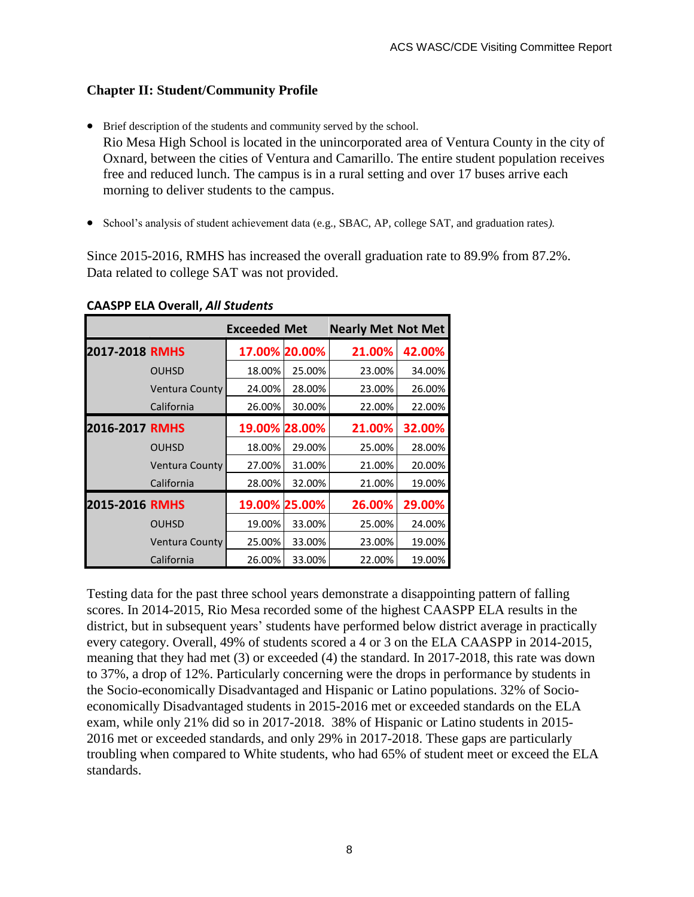## **Chapter II: Student/Community Profile**

- Brief description of the students and community served by the school. Rio Mesa High School is located in the unincorporated area of Ventura County in the city of Oxnard, between the cities of Ventura and Camarillo. The entire student population receives free and reduced lunch. The campus is in a rural setting and over 17 buses arrive each morning to deliver students to the campus.
- School's analysis of student achievement data (e.g., SBAC, AP, college SAT, and graduation rates).

Since 2015-2016, RMHS has increased the overall graduation rate to 89.9% from 87.2%. Data related to college SAT was not provided.

|                |                | <b>Exceeded Met</b> |               | <b>Nearly Met Not Met</b> |        |
|----------------|----------------|---------------------|---------------|---------------------------|--------|
| 2017-2018 RMHS |                |                     | 17.00% 20.00% | 21.00%                    | 42.00% |
|                | <b>OUHSD</b>   | 18.00%              | 25.00%        | 23.00%                    | 34.00% |
|                | Ventura County | 24.00%              | 28.00%        | 23.00%                    | 26.00% |
|                | California     | 26.00%              | 30.00%        | 22.00%                    | 22.00% |
| 2016-2017 RMHS |                |                     | 19.00% 28.00% | 21.00%                    | 32.00% |
|                | <b>OUHSD</b>   | 18.00%              | 29.00%        | 25.00%                    | 28.00% |
|                | Ventura County | 27.00%              | 31.00%        | 21.00%                    | 20.00% |
|                | California     | 28.00%              | 32.00%        | 21.00%                    | 19.00% |
| 2015-2016 RMHS |                |                     | 19.00% 25.00% | 26.00%                    | 29.00% |
|                | <b>OUHSD</b>   | 19.00%              | 33.00%        | 25.00%                    | 24.00% |
|                | Ventura County | 25.00%              | 33.00%        | 23.00%                    | 19.00% |
|                | California     | 26.00%              | 33.00%        | 22.00%                    | 19.00% |

#### **CAASPP ELA Overall,** *All Students*

Testing data for the past three school years demonstrate a disappointing pattern of falling scores. In 2014-2015, Rio Mesa recorded some of the highest CAASPP ELA results in the district, but in subsequent years' students have performed below district average in practically every category. Overall, 49% of students scored a 4 or 3 on the ELA CAASPP in 2014-2015, meaning that they had met (3) or exceeded (4) the standard. In 2017-2018, this rate was down to 37%, a drop of 12%. Particularly concerning were the drops in performance by students in the Socio-economically Disadvantaged and Hispanic or Latino populations. 32% of Socioeconomically Disadvantaged students in 2015-2016 met or exceeded standards on the ELA exam, while only 21% did so in 2017-2018. 38% of Hispanic or Latino students in 2015- 2016 met or exceeded standards, and only 29% in 2017-2018. These gaps are particularly troubling when compared to White students, who had 65% of student meet or exceed the ELA standards.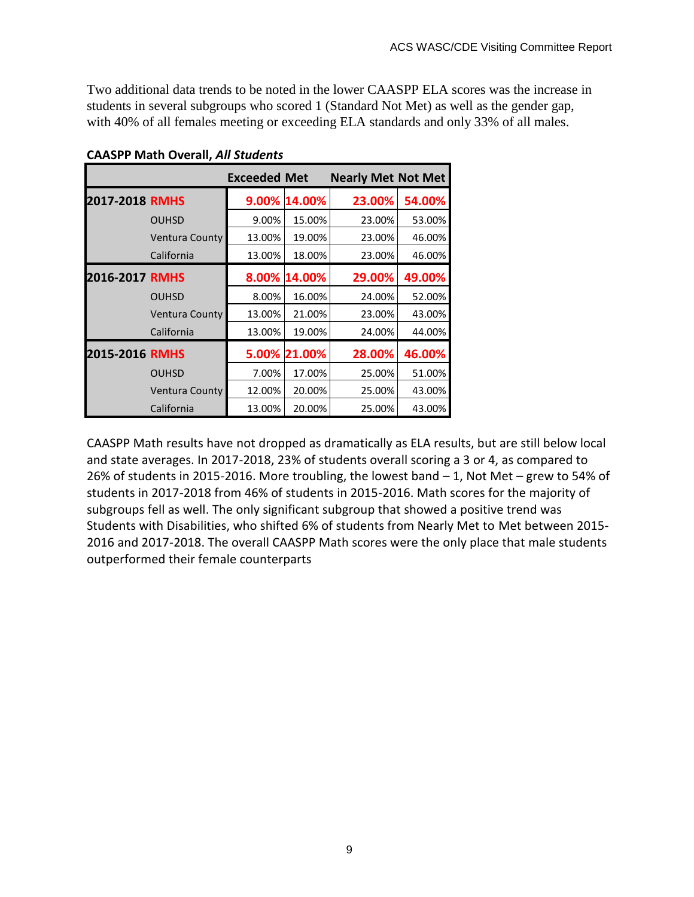Two additional data trends to be noted in the lower CAASPP ELA scores was the increase in students in several subgroups who scored 1 (Standard Not Met) as well as the gender gap, with 40% of all females meeting or exceeding ELA standards and only 33% of all males.

|                |                       | <b>Exceeded Met</b> |              | <b>Nearly Met Not Met</b> |        |
|----------------|-----------------------|---------------------|--------------|---------------------------|--------|
| 2017-2018 RMHS |                       |                     | 9.00% 14.00% | 23.00%                    | 54.00% |
|                | <b>OUHSD</b>          | 9.00%               | 15.00%       | 23.00%                    | 53.00% |
|                | <b>Ventura County</b> | 13.00%              | 19.00%       | 23.00%                    | 46.00% |
|                | California            | 13.00%              | 18.00%       | 23.00%                    | 46.00% |
| 2016-2017 RMHS |                       | 8.00%               | 14.00%       | 29.00%                    | 49.00% |
|                | <b>OUHSD</b>          | 8.00%               | 16.00%       | 24.00%                    | 52.00% |
|                | <b>Ventura County</b> | 13.00%              | 21.00%       | 23.00%                    | 43.00% |
|                | California            | 13.00%              | 19.00%       | 24.00%                    | 44.00% |
| 2015-2016 RMHS |                       | 5.00%               | 21.00%       | 28.00%                    | 46.00% |
|                | <b>OUHSD</b>          | 7.00%               | 17.00%       | 25.00%                    | 51.00% |
|                | Ventura County        | 12.00%              | 20.00%       | 25.00%                    | 43.00% |
|                | California            | 13.00%              | 20.00%       | 25.00%                    | 43.00% |

**CAASPP Math Overall,** *All Students*

CAASPP Math results have not dropped as dramatically as ELA results, but are still below local and state averages. In 2017-2018, 23% of students overall scoring a 3 or 4, as compared to 26% of students in 2015-2016. More troubling, the lowest band – 1, Not Met – grew to 54% of students in 2017-2018 from 46% of students in 2015-2016. Math scores for the majority of subgroups fell as well. The only significant subgroup that showed a positive trend was Students with Disabilities, who shifted 6% of students from Nearly Met to Met between 2015- 2016 and 2017-2018. The overall CAASPP Math scores were the only place that male students outperformed their female counterparts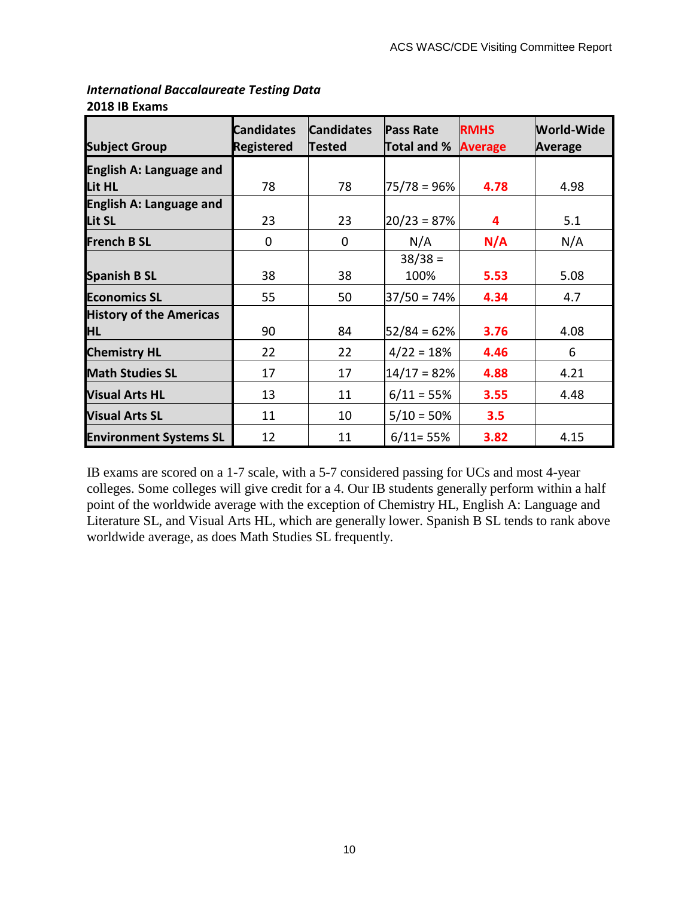| <b>Subject Group</b>           | <b>Candidates</b><br><b>Registered</b> | <b>Candidates</b><br><b>Tested</b> | <b>Pass Rate</b><br>Total and % | <b>RMHS</b><br><b>Average</b> | World-Wide<br>Average |
|--------------------------------|----------------------------------------|------------------------------------|---------------------------------|-------------------------------|-----------------------|
| <b>English A: Language and</b> |                                        |                                    |                                 |                               |                       |
| Lit HL                         | 78                                     | 78                                 | $75/78 = 96%$                   | 4.78                          | 4.98                  |
| <b>English A: Language and</b> |                                        |                                    |                                 |                               |                       |
| Lit SL                         | 23                                     | 23                                 | $20/23 = 87%$                   | 4                             |                       |
| <b>French B SL</b>             | 0                                      | 0                                  | N/A                             | N/A                           | N/A                   |
|                                |                                        |                                    | $38/38 =$                       |                               |                       |
| <b>Spanish B SL</b>            | 38                                     | 38                                 | 100%                            | 5.53                          | 5.08                  |
| <b>Economics SL</b>            | 55                                     | 50                                 | $37/50 = 74%$                   | 4.34                          | 4.7                   |
| <b>History of the Americas</b> |                                        |                                    |                                 |                               |                       |
| <b>HL</b>                      | 90                                     | 84                                 | $52/84 = 62%$                   | 3.76                          | 4.08                  |
| <b>Chemistry HL</b>            | 22                                     | 22                                 | $4/22 = 18%$                    | 4.46                          | 6                     |
| <b>Math Studies SL</b>         | 17                                     | 17                                 | $14/17 = 82%$                   | 4.88                          | 4.21                  |
| <b>Visual Arts HL</b>          | 13                                     | 11                                 | $6/11 = 55%$                    | 3.55                          | 4.48                  |
| <b>Visual Arts SL</b>          | 11                                     | 10                                 | $5/10 = 50\%$                   | 3.5                           |                       |
| <b>Environment Systems SL</b>  | 12                                     | 11                                 | $6/11 = 55%$                    | 3.82                          | 4.15                  |

#### *International Baccalaureate Testing Data* **2018 IB Exams**

IB exams are scored on a 1-7 scale, with a 5-7 considered passing for UCs and most 4-year colleges. Some colleges will give credit for a 4. Our IB students generally perform within a half point of the worldwide average with the exception of Chemistry HL, English A: Language and Literature SL, and Visual Arts HL, which are generally lower. Spanish B SL tends to rank above worldwide average, as does Math Studies SL frequently.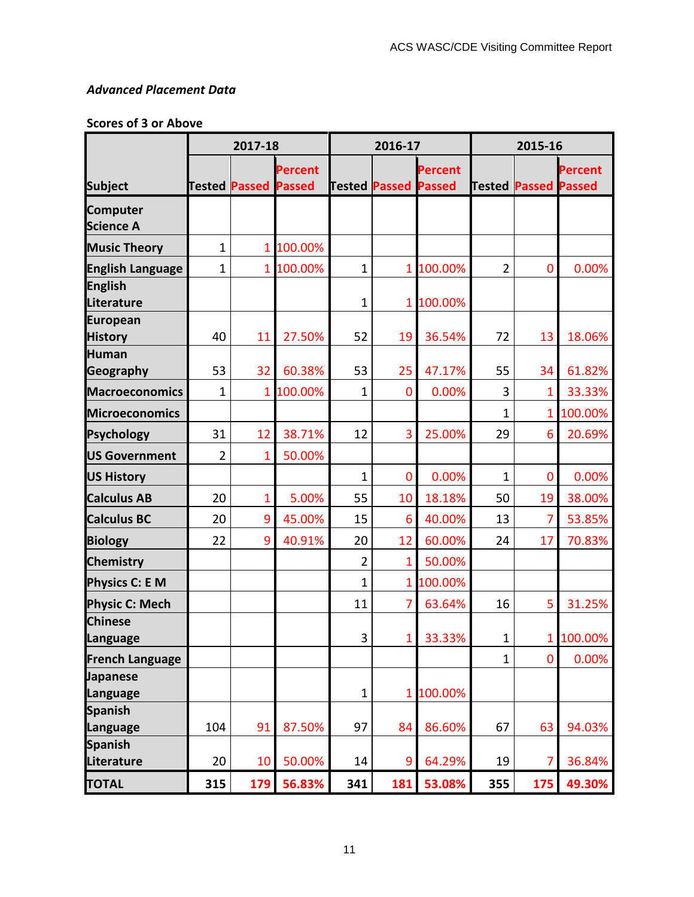## *Advanced Placement Data*

## **Scores of 3 or Above**

|                                     |              | 2017-18                     |                | 2016-17        |                             | 2015-16 |                |                             |           |
|-------------------------------------|--------------|-----------------------------|----------------|----------------|-----------------------------|---------|----------------|-----------------------------|-----------|
|                                     |              |                             | <b>Percent</b> |                |                             | Percent |                |                             | Percent   |
| <b>Subject</b>                      |              | <b>Tested Passed Passed</b> |                |                | <b>Tested Passed Passed</b> |         |                | <b>Tested Passed Passed</b> |           |
| <b>Computer</b><br><b>Science A</b> |              |                             |                |                |                             |         |                |                             |           |
| <b>Music Theory</b>                 | 1            | 1                           | 100.00%        |                |                             |         |                |                             |           |
| <b>English Language</b>             | $\mathbf{1}$ | 1 <sup>1</sup>              | 100.00%        | $\mathbf{1}$   | 1 <sub>1</sub>              | 100.00% | $\overline{2}$ | 0                           | 0.00%     |
| <b>English</b><br>Literature        |              |                             |                | $\mathbf{1}$   | 1                           | 100.00% |                |                             |           |
| <b>European</b><br><b>History</b>   | 40           | 11                          | 27.50%         | 52             | 19                          | 36.54%  | 72             | 13                          | 18.06%    |
| <b>Human</b><br>Geography           | 53           | 32                          | 60.38%         | 53             | 25                          | 47.17%  | 55             | 34                          | 61.82%    |
| <b>Macroeconomics</b>               | $\mathbf{1}$ | 1 <sup>1</sup>              | 100.00%        | $\mathbf{1}$   | 0                           | 0.00%   | 3              | 1                           | 33.33%    |
| <b>Microeconomics</b>               |              |                             |                |                |                             |         | 1              | 1                           | 100.00%   |
| <b>Psychology</b>                   | 31           | 12                          | 38.71%         | 12             | 3                           | 25.00%  | 29             | 6                           | 20.69%    |
| <b>US Government</b>                | 2            | 1                           | 50.00%         |                |                             |         |                |                             |           |
| <b>US History</b>                   |              |                             |                | $\mathbf{1}$   | $\bf{0}$                    | 0.00%   | $\mathbf{1}$   | 0                           | 0.00%     |
| <b>Calculus AB</b>                  | 20           | 1                           | 5.00%          | 55             | 10                          | 18.18%  | 50             | 19                          | 38.00%    |
| <b>Calculus BC</b>                  | 20           | 9                           | 45.00%         | 15             | 6                           | 40.00%  | 13             | 7                           | 53.85%    |
| <b>Biology</b>                      | 22           | 9                           | 40.91%         | 20             | 12                          | 60.00%  | 24             | 17                          | 70.83%    |
| <b>Chemistry</b>                    |              |                             |                | $\overline{2}$ | $\mathbf{1}$                | 50.00%  |                |                             |           |
| <b>Physics C: E M</b>               |              |                             |                | 1              | 1 <sub>1</sub>              | 100.00% |                |                             |           |
| <b>Physic C: Mech</b>               |              |                             |                | 11             | $\overline{7}$              | 63.64%  | 16             | 5                           | 31.25%    |
| <b>Chinese</b><br>Language          |              |                             |                | 3              | 1                           | 33.33%  | 1              |                             | 1 100.00% |
| <b>French Language</b>              |              |                             |                |                |                             |         | $\overline{1}$ | 0                           | 0.00%     |
| <b>Japanese</b>                     |              |                             |                |                |                             |         |                |                             |           |
| Language                            |              |                             |                | $\mathbf{1}$   | $\mathbf{1}$                | 100.00% |                |                             |           |
| <b>Spanish</b><br>Language          | 104          | 91                          | 87.50%         | 97             | 84                          | 86.60%  | 67             | 63                          | 94.03%    |
| <b>Spanish</b>                      |              |                             |                |                |                             |         |                |                             |           |
| Literature                          | 20           | 10                          | 50.00%         | 14             | 9                           | 64.29%  | 19             | 7                           | 36.84%    |
| <b>TOTAL</b>                        | 315          | 179                         | 56.83%         | 341            | 181                         | 53.08%  | 355            | 175                         | 49.30%    |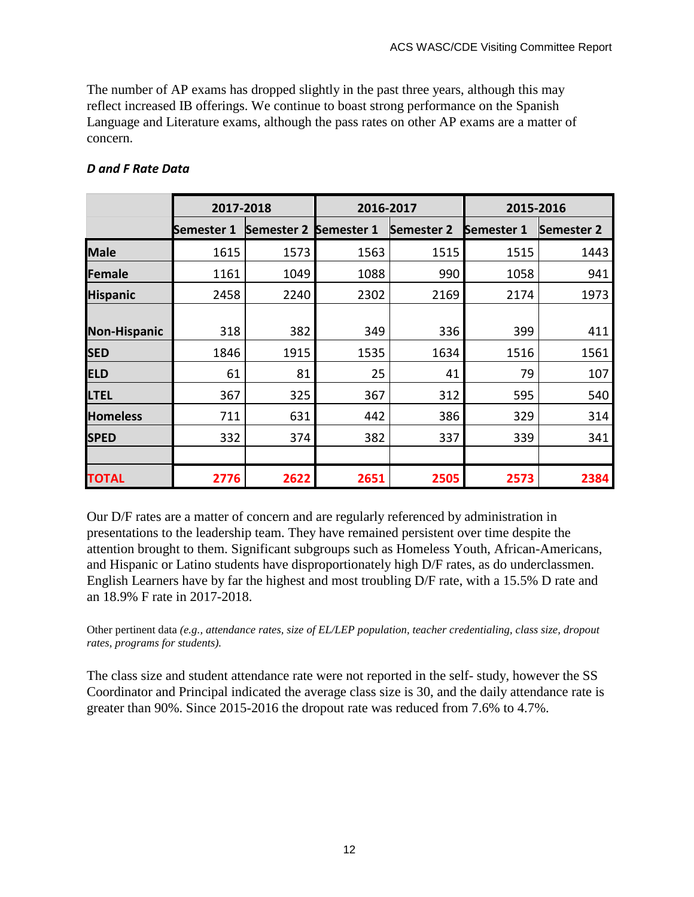The number of AP exams has dropped slightly in the past three years, although this may reflect increased IB offerings. We continue to boast strong performance on the Spanish Language and Literature exams, although the pass rates on other AP exams are a matter of concern.

|                     | 2017-2018         |                       | 2016-2017 |                   | 2015-2016         |                   |  |
|---------------------|-------------------|-----------------------|-----------|-------------------|-------------------|-------------------|--|
|                     | <b>Semester 1</b> | Semester 2 Semester 1 |           | <b>Semester 2</b> | <b>Semester 1</b> | <b>Semester 2</b> |  |
| <b>Male</b>         | 1615              | 1573                  | 1563      | 1515              | 1515              | 1443              |  |
| <b>Female</b>       | 1161              | 1049                  | 1088      | 990               | 1058              | 941               |  |
| <b>Hispanic</b>     | 2458              | 2240                  | 2302      | 2169              | 2174              | 1973              |  |
| <b>Non-Hispanic</b> | 318               | 382                   | 349       | 336               | 399               | 411               |  |
| <b>SED</b>          | 1846              | 1915                  | 1535      | 1634              | 1516              | 1561              |  |
| <b>ELD</b>          | 61                | 81                    | 25        | 41                | 79                | 107               |  |
| <b>LTEL</b>         | 367               | 325                   | 367       | 312               | 595               | 540               |  |
| <b>Homeless</b>     | 711               | 631                   | 442       | 386               | 329               | 314               |  |
| <b>SPED</b>         | 332               | 374                   | 382       | 337               | 339               | 341               |  |
|                     |                   |                       |           |                   |                   |                   |  |
| <b>TOTAL</b>        | 2776              | 2622                  | 2651      | 2505              | 2573              | 2384              |  |

## *D and F Rate Data*

Our D/F rates are a matter of concern and are regularly referenced by administration in presentations to the leadership team. They have remained persistent over time despite the attention brought to them. Significant subgroups such as Homeless Youth, African-Americans, and Hispanic or Latino students have disproportionately high D/F rates, as do underclassmen. English Learners have by far the highest and most troubling D/F rate, with a 15.5% D rate and an 18.9% F rate in 2017-2018.

Other pertinent data *(e.g., attendance rates, size of EL/LEP population, teacher credentialing, class size, dropout rates, programs for students).*

The class size and student attendance rate were not reported in the self- study, however the SS Coordinator and Principal indicated the average class size is 30, and the daily attendance rate is greater than 90%. Since 2015-2016 the dropout rate was reduced from 7.6% to 4.7%.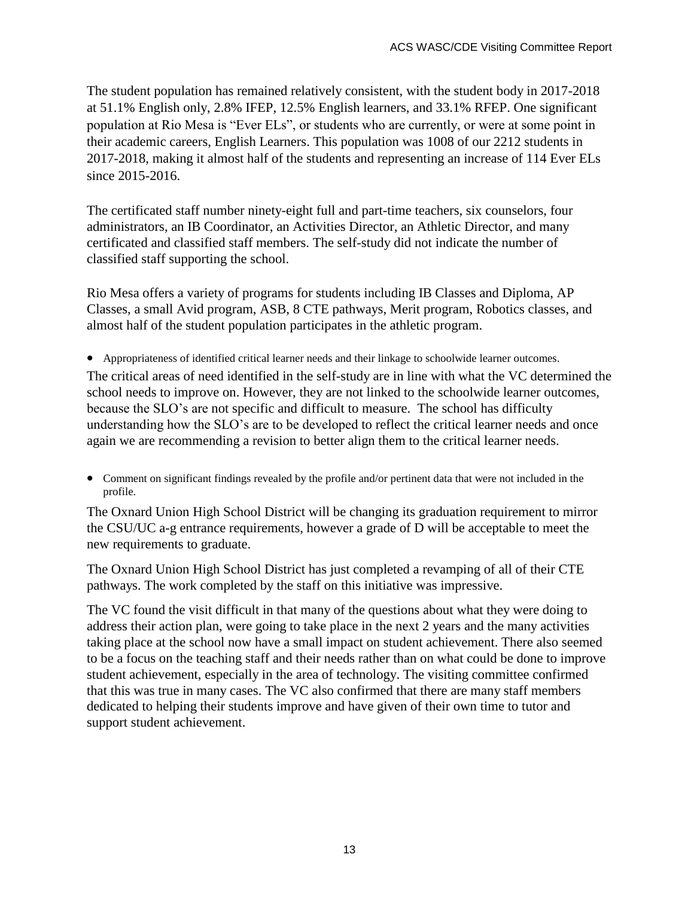The student population has remained relatively consistent, with the student body in 2017-2018 at 51.1% English only, 2.8% IFEP, 12.5% English learners, and 33.1% RFEP. One significant population at Rio Mesa is "Ever ELs", or students who are currently, or were at some point in their academic careers, English Learners. This population was 1008 of our 2212 students in 2017-2018, making it almost half of the students and representing an increase of 114 Ever ELs since 2015-2016.

The certificated staff number ninety-eight full and part-time teachers, six counselors, four administrators, an IB Coordinator, an Activities Director, an Athletic Director, and many certificated and classified staff members. The self-study did not indicate the number of classified staff supporting the school.

Rio Mesa offers a variety of programs for students including IB Classes and Diploma, AP Classes, a small Avid program, ASB, 8 CTE pathways, Merit program, Robotics classes, and almost half of the student population participates in the athletic program.

 Appropriateness of identified critical learner needs and their linkage to schoolwide learner outcomes. The critical areas of need identified in the self-study are in line with what the VC determined the school needs to improve on. However, they are not linked to the schoolwide learner outcomes, because the SLO's are not specific and difficult to measure. The school has difficulty understanding how the SLO's are to be developed to reflect the critical learner needs and once again we are recommending a revision to better align them to the critical learner needs.

 Comment on significant findings revealed by the profile and/or pertinent data that were not included in the profile.

The Oxnard Union High School District will be changing its graduation requirement to mirror the CSU/UC a-g entrance requirements, however a grade of D will be acceptable to meet the new requirements to graduate.

The Oxnard Union High School District has just completed a revamping of all of their CTE pathways. The work completed by the staff on this initiative was impressive.

The VC found the visit difficult in that many of the questions about what they were doing to address their action plan, were going to take place in the next 2 years and the many activities taking place at the school now have a small impact on student achievement. There also seemed to be a focus on the teaching staff and their needs rather than on what could be done to improve student achievement, especially in the area of technology. The visiting committee confirmed that this was true in many cases. The VC also confirmed that there are many staff members dedicated to helping their students improve and have given of their own time to tutor and support student achievement.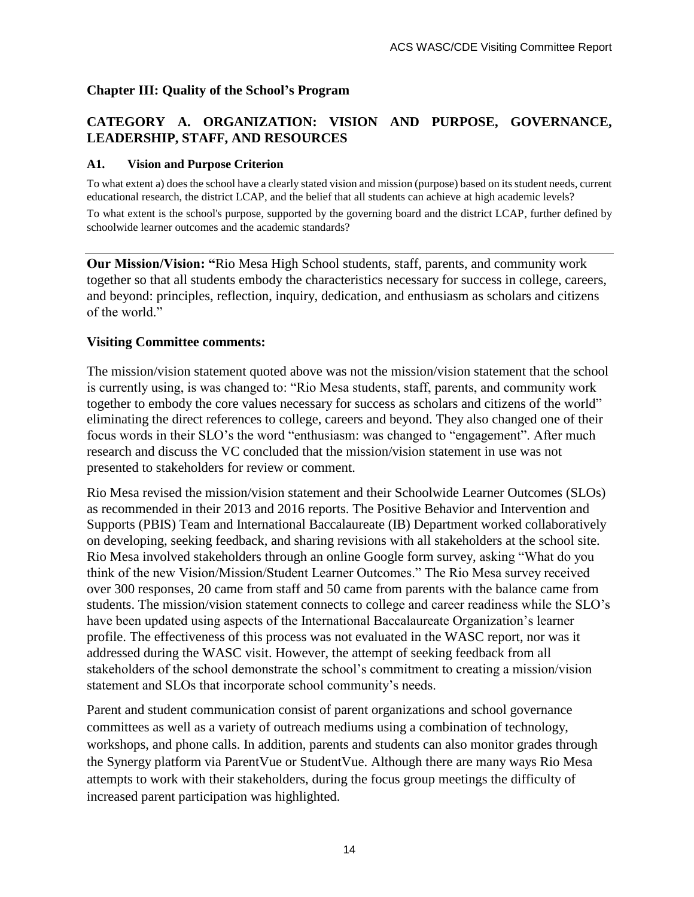### **Chapter III: Quality of the School's Program**

## **CATEGORY A. ORGANIZATION: VISION AND PURPOSE, GOVERNANCE, LEADERSHIP, STAFF, AND RESOURCES**

#### **A1. Vision and Purpose Criterion**

To what extent a) does the school have a clearly stated vision and mission (purpose) based on its student needs, current educational research, the district LCAP, and the belief that all students can achieve at high academic levels? To what extent is the school's purpose, supported by the governing board and the district LCAP, further defined by schoolwide learner outcomes and the academic standards?

**Our Mission/Vision: "**Rio Mesa High School students, staff, parents, and community work together so that all students embody the characteristics necessary for success in college, careers, and beyond: principles, reflection, inquiry, dedication, and enthusiasm as scholars and citizens of the world."

#### **Visiting Committee comments:**

The mission/vision statement quoted above was not the mission/vision statement that the school is currently using, is was changed to: "Rio Mesa students, staff, parents, and community work together to embody the core values necessary for success as scholars and citizens of the world" eliminating the direct references to college, careers and beyond. They also changed one of their focus words in their SLO's the word "enthusiasm: was changed to "engagement". After much research and discuss the VC concluded that the mission/vision statement in use was not presented to stakeholders for review or comment.

Rio Mesa revised the mission/vision statement and their Schoolwide Learner Outcomes (SLOs) as recommended in their 2013 and 2016 reports. The Positive Behavior and Intervention and Supports (PBIS) Team and International Baccalaureate (IB) Department worked collaboratively on developing, seeking feedback, and sharing revisions with all stakeholders at the school site. Rio Mesa involved stakeholders through an online Google form survey, asking "What do you think of the new Vision/Mission/Student Learner Outcomes." The Rio Mesa survey received over 300 responses, 20 came from staff and 50 came from parents with the balance came from students. The mission/vision statement connects to college and career readiness while the SLO's have been updated using aspects of the International Baccalaureate Organization's learner profile. The effectiveness of this process was not evaluated in the WASC report, nor was it addressed during the WASC visit. However, the attempt of seeking feedback from all stakeholders of the school demonstrate the school's commitment to creating a mission/vision statement and SLOs that incorporate school community's needs.

Parent and student communication consist of parent organizations and school governance committees as well as a variety of outreach mediums using a combination of technology, workshops, and phone calls. In addition, parents and students can also monitor grades through the Synergy platform via ParentVue or StudentVue. Although there are many ways Rio Mesa attempts to work with their stakeholders, during the focus group meetings the difficulty of increased parent participation was highlighted.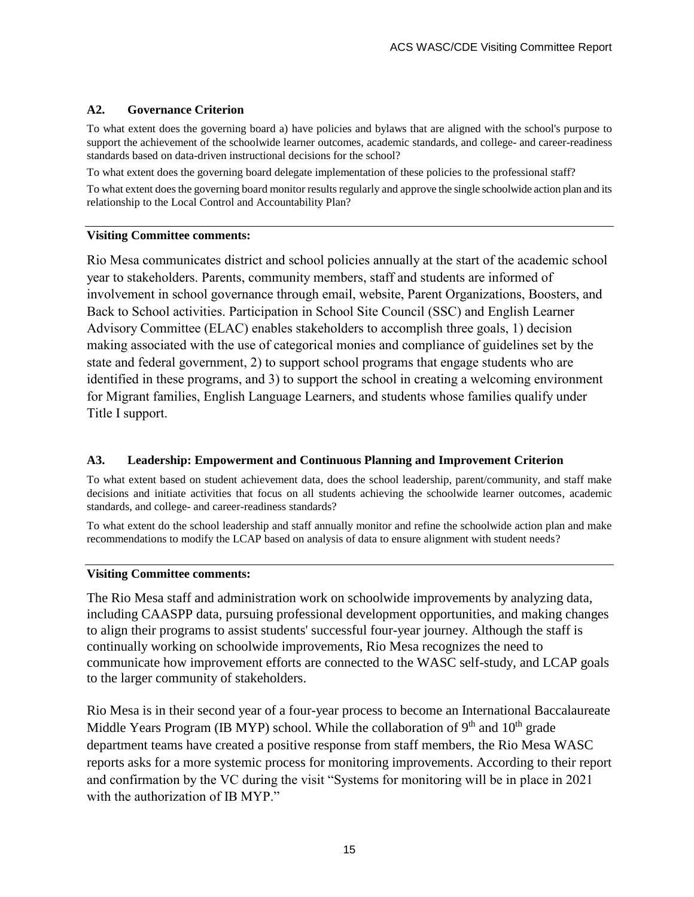#### **A2. Governance Criterion**

To what extent does the governing board a) have policies and bylaws that are aligned with the school's purpose to support the achievement of the schoolwide learner outcomes, academic standards, and college- and career-readiness standards based on data-driven instructional decisions for the school?

To what extent does the governing board delegate implementation of these policies to the professional staff?

To what extent does the governing board monitor results regularly and approve the single schoolwide action plan and its relationship to the Local Control and Accountability Plan?

#### **Visiting Committee comments:**

Rio Mesa communicates district and school policies annually at the start of the academic school year to stakeholders. Parents, community members, staff and students are informed of involvement in school governance through email, website, Parent Organizations, Boosters, and Back to School activities. Participation in School Site Council (SSC) and English Learner Advisory Committee (ELAC) enables stakeholders to accomplish three goals, 1) decision making associated with the use of categorical monies and compliance of guidelines set by the state and federal government, 2) to support school programs that engage students who are identified in these programs, and 3) to support the school in creating a welcoming environment for Migrant families, English Language Learners, and students whose families qualify under Title I support.

#### **A3. Leadership: Empowerment and Continuous Planning and Improvement Criterion**

To what extent based on student achievement data, does the school leadership, parent/community, and staff make decisions and initiate activities that focus on all students achieving the schoolwide learner outcomes, academic standards, and college- and career-readiness standards?

To what extent do the school leadership and staff annually monitor and refine the schoolwide action plan and make recommendations to modify the LCAP based on analysis of data to ensure alignment with student needs?

#### **Visiting Committee comments:**

The Rio Mesa staff and administration work on schoolwide improvements by analyzing data, including CAASPP data, pursuing professional development opportunities, and making changes to align their programs to assist students' successful four-year journey. Although the staff is continually working on schoolwide improvements, Rio Mesa recognizes the need to communicate how improvement efforts are connected to the WASC self-study, and LCAP goals to the larger community of stakeholders.

Rio Mesa is in their second year of a four-year process to become an International Baccalaureate Middle Years Program (IB MYP) school. While the collaboration of 9<sup>th</sup> and 10<sup>th</sup> grade department teams have created a positive response from staff members, the Rio Mesa WASC reports asks for a more systemic process for monitoring improvements. According to their report and confirmation by the VC during the visit "Systems for monitoring will be in place in 2021 with the authorization of IB MYP."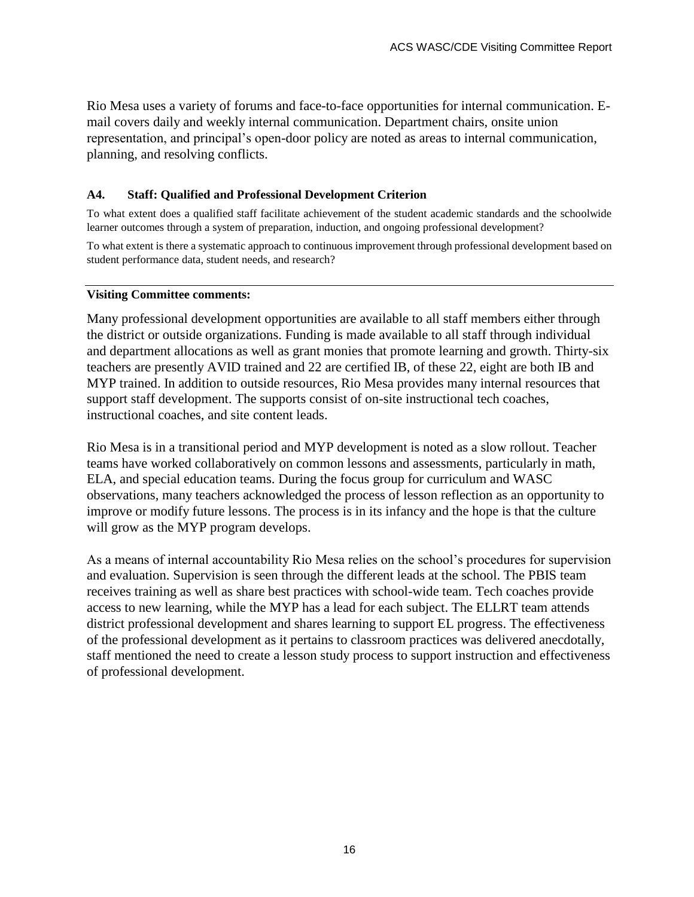Rio Mesa uses a variety of forums and face-to-face opportunities for internal communication. Email covers daily and weekly internal communication. Department chairs, onsite union representation, and principal's open-door policy are noted as areas to internal communication, planning, and resolving conflicts.

#### **A4. Staff: Qualified and Professional Development Criterion**

To what extent does a qualified staff facilitate achievement of the student academic standards and the schoolwide learner outcomes through a system of preparation, induction, and ongoing professional development?

To what extent is there a systematic approach to continuous improvement through professional development based on student performance data, student needs, and research?

#### **Visiting Committee comments:**

Many professional development opportunities are available to all staff members either through the district or outside organizations. Funding is made available to all staff through individual and department allocations as well as grant monies that promote learning and growth. Thirty-six teachers are presently AVID trained and 22 are certified IB, of these 22, eight are both IB and MYP trained. In addition to outside resources, Rio Mesa provides many internal resources that support staff development. The supports consist of on-site instructional tech coaches, instructional coaches, and site content leads.

Rio Mesa is in a transitional period and MYP development is noted as a slow rollout. Teacher teams have worked collaboratively on common lessons and assessments, particularly in math, ELA, and special education teams. During the focus group for curriculum and WASC observations, many teachers acknowledged the process of lesson reflection as an opportunity to improve or modify future lessons. The process is in its infancy and the hope is that the culture will grow as the MYP program develops.

As a means of internal accountability Rio Mesa relies on the school's procedures for supervision and evaluation. Supervision is seen through the different leads at the school. The PBIS team receives training as well as share best practices with school-wide team. Tech coaches provide access to new learning, while the MYP has a lead for each subject. The ELLRT team attends district professional development and shares learning to support EL progress. The effectiveness of the professional development as it pertains to classroom practices was delivered anecdotally, staff mentioned the need to create a lesson study process to support instruction and effectiveness of professional development.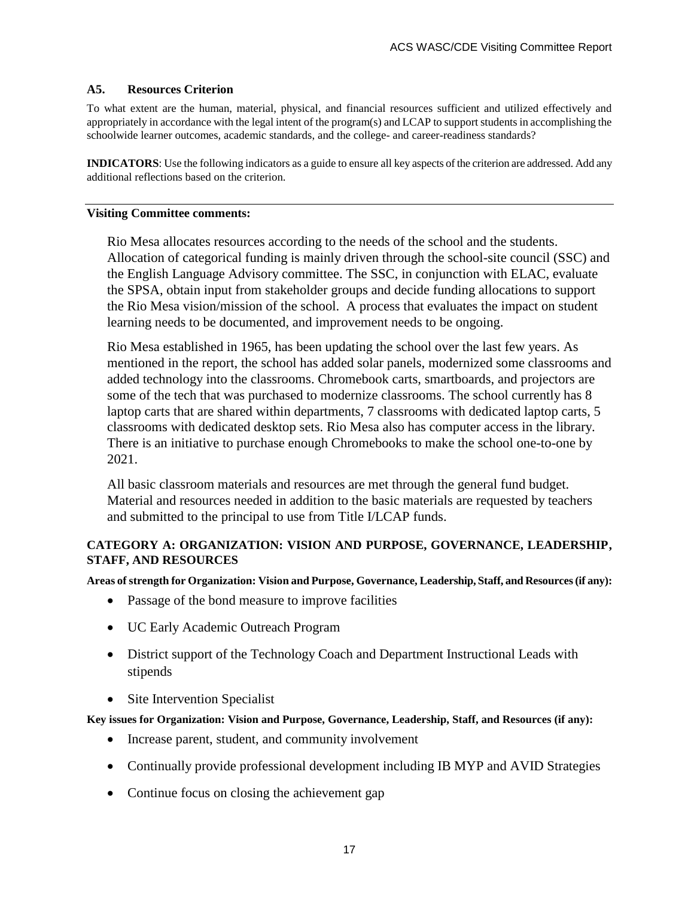#### **A5. Resources Criterion**

To what extent are the human, material, physical, and financial resources sufficient and utilized effectively and appropriately in accordance with the legal intent of the program(s) and LCAP to support students in accomplishing the schoolwide learner outcomes, academic standards, and the college- and career-readiness standards?

**INDICATORS**: Use the following indicators as a guide to ensure all key aspects of the criterion are addressed. Add any additional reflections based on the criterion.

#### **Visiting Committee comments:**

Rio Mesa allocates resources according to the needs of the school and the students. Allocation of categorical funding is mainly driven through the school-site council (SSC) and the English Language Advisory committee. The SSC, in conjunction with ELAC, evaluate the SPSA, obtain input from stakeholder groups and decide funding allocations to support the Rio Mesa vision/mission of the school. A process that evaluates the impact on student learning needs to be documented, and improvement needs to be ongoing.

Rio Mesa established in 1965, has been updating the school over the last few years. As mentioned in the report, the school has added solar panels, modernized some classrooms and added technology into the classrooms. Chromebook carts, smartboards, and projectors are some of the tech that was purchased to modernize classrooms. The school currently has 8 laptop carts that are shared within departments, 7 classrooms with dedicated laptop carts, 5 classrooms with dedicated desktop sets. Rio Mesa also has computer access in the library. There is an initiative to purchase enough Chromebooks to make the school one-to-one by 2021.

All basic classroom materials and resources are met through the general fund budget. Material and resources needed in addition to the basic materials are requested by teachers and submitted to the principal to use from Title I/LCAP funds.

#### **CATEGORY A: ORGANIZATION: VISION AND PURPOSE, GOVERNANCE, LEADERSHIP, STAFF, AND RESOURCES**

**Areas of strength for Organization: Vision and Purpose, Governance, Leadership, Staff, and Resources (if any):**

- Passage of the bond measure to improve facilities
- UC Early Academic Outreach Program
- District support of the Technology Coach and Department Instructional Leads with stipends
- Site Intervention Specialist

**Key issues for Organization: Vision and Purpose, Governance, Leadership, Staff, and Resources (if any):**

- Increase parent, student, and community involvement
- Continually provide professional development including IB MYP and AVID Strategies
- Continue focus on closing the achievement gap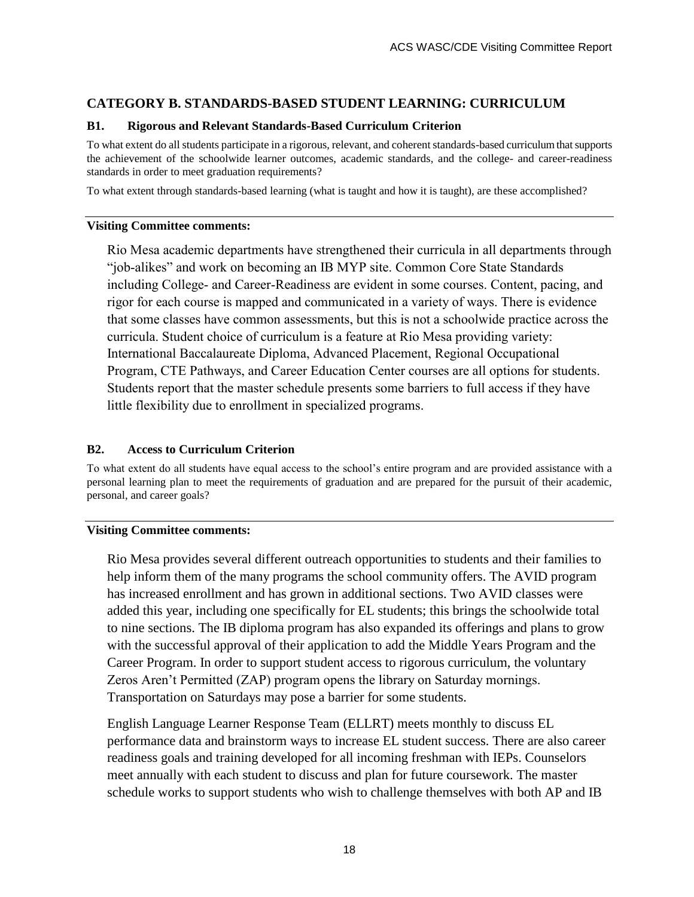## **CATEGORY B. STANDARDS-BASED STUDENT LEARNING: CURRICULUM**

#### **B1. Rigorous and Relevant Standards-Based Curriculum Criterion**

To what extent do all students participate in a rigorous, relevant, and coherent standards-based curriculum that supports the achievement of the schoolwide learner outcomes, academic standards, and the college- and career-readiness standards in order to meet graduation requirements?

To what extent through standards-based learning (what is taught and how it is taught), are these accomplished?

#### **Visiting Committee comments:**

Rio Mesa academic departments have strengthened their curricula in all departments through "job-alikes" and work on becoming an IB MYP site. Common Core State Standards including College- and Career-Readiness are evident in some courses. Content, pacing, and rigor for each course is mapped and communicated in a variety of ways. There is evidence that some classes have common assessments, but this is not a schoolwide practice across the curricula. Student choice of curriculum is a feature at Rio Mesa providing variety: International Baccalaureate Diploma, Advanced Placement, Regional Occupational Program, CTE Pathways, and Career Education Center courses are all options for students. Students report that the master schedule presents some barriers to full access if they have little flexibility due to enrollment in specialized programs.

#### **B2. Access to Curriculum Criterion**

To what extent do all students have equal access to the school's entire program and are provided assistance with a personal learning plan to meet the requirements of graduation and are prepared for the pursuit of their academic, personal, and career goals?

#### **Visiting Committee comments:**

Rio Mesa provides several different outreach opportunities to students and their families to help inform them of the many programs the school community offers. The AVID program has increased enrollment and has grown in additional sections. Two AVID classes were added this year, including one specifically for EL students; this brings the schoolwide total to nine sections. The IB diploma program has also expanded its offerings and plans to grow with the successful approval of their application to add the Middle Years Program and the Career Program. In order to support student access to rigorous curriculum, the voluntary Zeros Aren't Permitted (ZAP) program opens the library on Saturday mornings. Transportation on Saturdays may pose a barrier for some students.

English Language Learner Response Team (ELLRT) meets monthly to discuss EL performance data and brainstorm ways to increase EL student success. There are also career readiness goals and training developed for all incoming freshman with IEPs. Counselors meet annually with each student to discuss and plan for future coursework. The master schedule works to support students who wish to challenge themselves with both AP and IB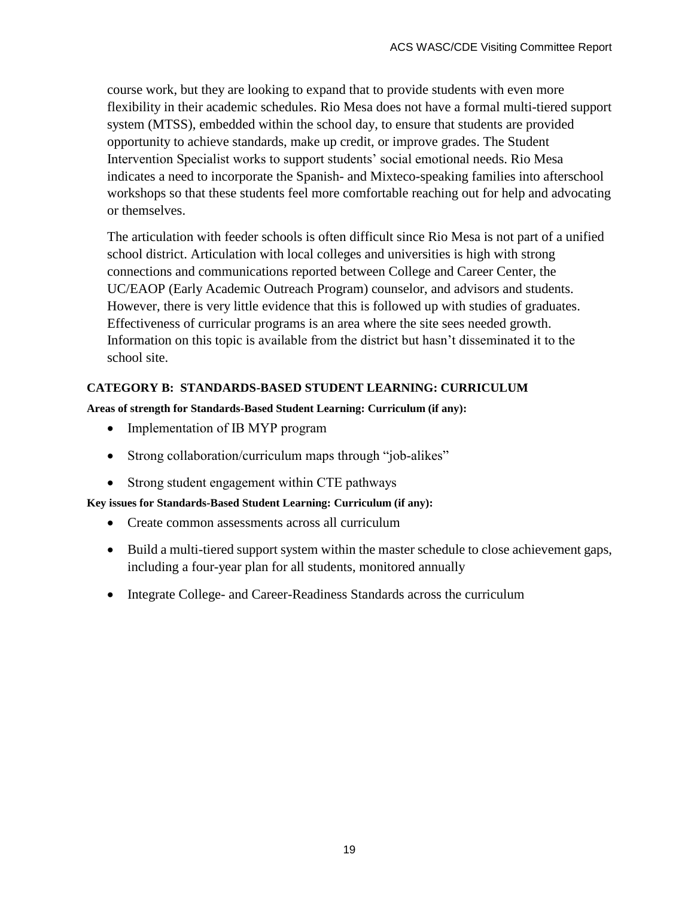course work, but they are looking to expand that to provide students with even more flexibility in their academic schedules. Rio Mesa does not have a formal multi-tiered support system (MTSS), embedded within the school day, to ensure that students are provided opportunity to achieve standards, make up credit, or improve grades. The Student Intervention Specialist works to support students' social emotional needs. Rio Mesa indicates a need to incorporate the Spanish- and Mixteco-speaking families into afterschool workshops so that these students feel more comfortable reaching out for help and advocating or themselves.

The articulation with feeder schools is often difficult since Rio Mesa is not part of a unified school district. Articulation with local colleges and universities is high with strong connections and communications reported between College and Career Center, the UC/EAOP (Early Academic Outreach Program) counselor, and advisors and students. However, there is very little evidence that this is followed up with studies of graduates. Effectiveness of curricular programs is an area where the site sees needed growth. Information on this topic is available from the district but hasn't disseminated it to the school site.

## **CATEGORY B: STANDARDS-BASED STUDENT LEARNING: CURRICULUM**

#### **Areas of strength for Standards-Based Student Learning: Curriculum (if any):**

- Implementation of IB MYP program
- Strong collaboration/curriculum maps through "job-alikes"
- Strong student engagement within CTE pathways

#### **Key issues for Standards-Based Student Learning: Curriculum (if any):**

- Create common assessments across all curriculum
- Build a multi-tiered support system within the master schedule to close achievement gaps, including a four-year plan for all students, monitored annually
- Integrate College- and Career-Readiness Standards across the curriculum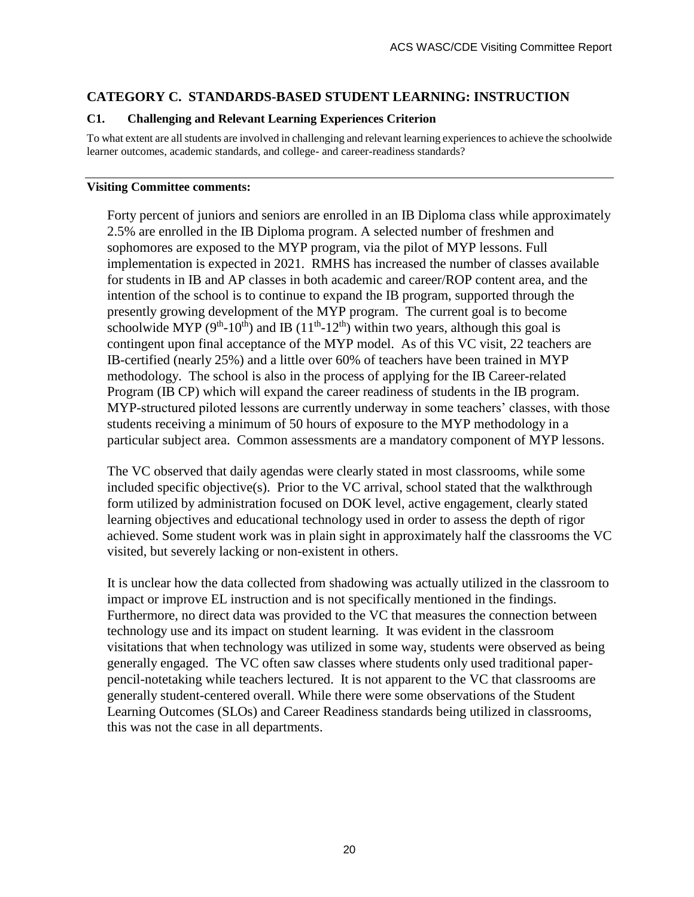## **CATEGORY C. STANDARDS-BASED STUDENT LEARNING: INSTRUCTION**

#### **C1. Challenging and Relevant Learning Experiences Criterion**

To what extent are all students are involved in challenging and relevant learning experiences to achieve the schoolwide learner outcomes, academic standards, and college- and career-readiness standards?

#### **Visiting Committee comments:**

Forty percent of juniors and seniors are enrolled in an IB Diploma class while approximately 2.5% are enrolled in the IB Diploma program. A selected number of freshmen and sophomores are exposed to the MYP program, via the pilot of MYP lessons. Full implementation is expected in 2021. RMHS has increased the number of classes available for students in IB and AP classes in both academic and career/ROP content area, and the intention of the school is to continue to expand the IB program, supported through the presently growing development of the MYP program. The current goal is to become schoolwide MYP ( $9<sup>th</sup>$ -10<sup>th</sup>) and IB ( $11<sup>th</sup>$ -12<sup>th</sup>) within two years, although this goal is contingent upon final acceptance of the MYP model. As of this VC visit, 22 teachers are IB-certified (nearly 25%) and a little over 60% of teachers have been trained in MYP methodology. The school is also in the process of applying for the IB Career-related Program (IB CP) which will expand the career readiness of students in the IB program. MYP-structured piloted lessons are currently underway in some teachers' classes, with those students receiving a minimum of 50 hours of exposure to the MYP methodology in a particular subject area. Common assessments are a mandatory component of MYP lessons.

The VC observed that daily agendas were clearly stated in most classrooms, while some included specific objective(s). Prior to the VC arrival, school stated that the walkthrough form utilized by administration focused on DOK level, active engagement, clearly stated learning objectives and educational technology used in order to assess the depth of rigor achieved. Some student work was in plain sight in approximately half the classrooms the VC visited, but severely lacking or non-existent in others.

It is unclear how the data collected from shadowing was actually utilized in the classroom to impact or improve EL instruction and is not specifically mentioned in the findings. Furthermore, no direct data was provided to the VC that measures the connection between technology use and its impact on student learning. It was evident in the classroom visitations that when technology was utilized in some way, students were observed as being generally engaged. The VC often saw classes where students only used traditional paperpencil-notetaking while teachers lectured. It is not apparent to the VC that classrooms are generally student-centered overall. While there were some observations of the Student Learning Outcomes (SLOs) and Career Readiness standards being utilized in classrooms, this was not the case in all departments.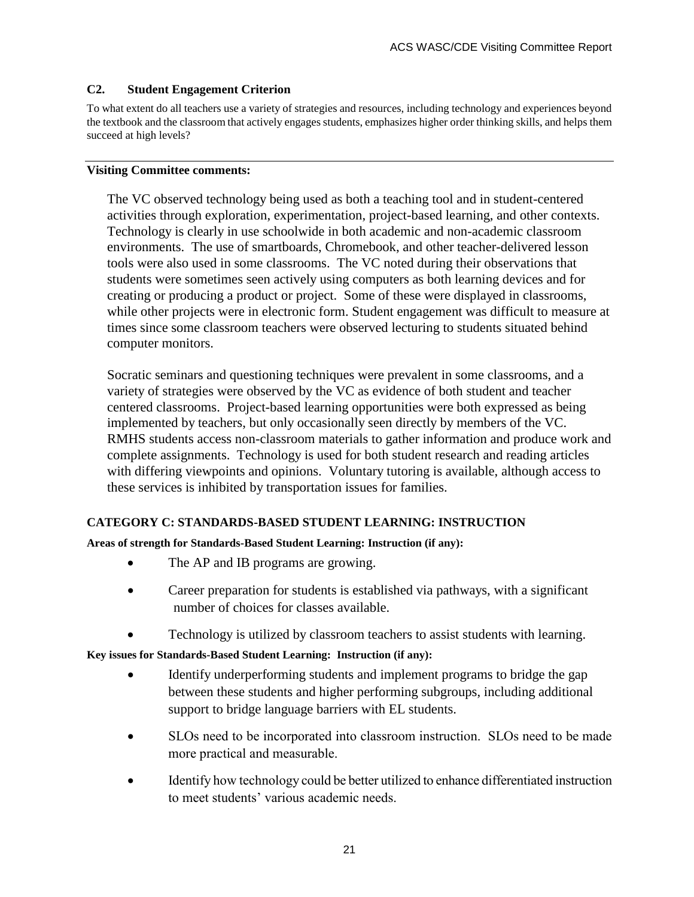#### **C2. Student Engagement Criterion**

To what extent do all teachers use a variety of strategies and resources, including technology and experiences beyond the textbook and the classroom that actively engages students, emphasizes higher order thinking skills, and helps them succeed at high levels?

#### **Visiting Committee comments:**

The VC observed technology being used as both a teaching tool and in student-centered activities through exploration, experimentation, project-based learning, and other contexts. Technology is clearly in use schoolwide in both academic and non-academic classroom environments. The use of smartboards, Chromebook, and other teacher-delivered lesson tools were also used in some classrooms. The VC noted during their observations that students were sometimes seen actively using computers as both learning devices and for creating or producing a product or project. Some of these were displayed in classrooms, while other projects were in electronic form. Student engagement was difficult to measure at times since some classroom teachers were observed lecturing to students situated behind computer monitors.

Socratic seminars and questioning techniques were prevalent in some classrooms, and a variety of strategies were observed by the VC as evidence of both student and teacher centered classrooms. Project-based learning opportunities were both expressed as being implemented by teachers, but only occasionally seen directly by members of the VC. RMHS students access non-classroom materials to gather information and produce work and complete assignments. Technology is used for both student research and reading articles with differing viewpoints and opinions. Voluntary tutoring is available, although access to these services is inhibited by transportation issues for families.

#### **CATEGORY C: STANDARDS-BASED STUDENT LEARNING: INSTRUCTION**

#### **Areas of strength for Standards-Based Student Learning: Instruction (if any):**

- The AP and IB programs are growing.
- Career preparation for students is established via pathways, with a significant number of choices for classes available.
- Technology is utilized by classroom teachers to assist students with learning.

**Key issues for Standards-Based Student Learning: Instruction (if any):**

- Identify underperforming students and implement programs to bridge the gap between these students and higher performing subgroups, including additional support to bridge language barriers with EL students.
- SLOs need to be incorporated into classroom instruction. SLOs need to be made more practical and measurable.
- Identify how technology could be better utilized to enhance differentiated instruction to meet students' various academic needs.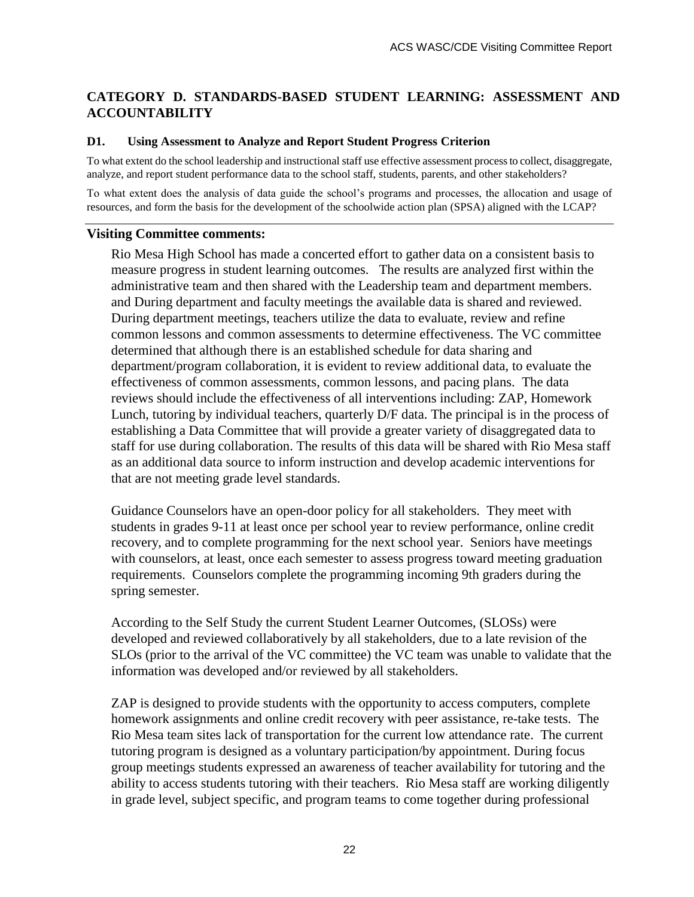## **CATEGORY D. STANDARDS-BASED STUDENT LEARNING: ASSESSMENT AND ACCOUNTABILITY**

#### **D1. Using Assessment to Analyze and Report Student Progress Criterion**

To what extent do the school leadership and instructional staff use effective assessment process to collect, disaggregate, analyze, and report student performance data to the school staff, students, parents, and other stakeholders?

To what extent does the analysis of data guide the school's programs and processes, the allocation and usage of resources, and form the basis for the development of the schoolwide action plan (SPSA) aligned with the LCAP?

#### **Visiting Committee comments:**

Rio Mesa High School has made a concerted effort to gather data on a consistent basis to measure progress in student learning outcomes. The results are analyzed first within the administrative team and then shared with the Leadership team and department members. and During department and faculty meetings the available data is shared and reviewed. During department meetings, teachers utilize the data to evaluate, review and refine common lessons and common assessments to determine effectiveness. The VC committee determined that although there is an established schedule for data sharing and department/program collaboration, it is evident to review additional data, to evaluate the effectiveness of common assessments, common lessons, and pacing plans. The data reviews should include the effectiveness of all interventions including: ZAP, Homework Lunch, tutoring by individual teachers, quarterly D/F data. The principal is in the process of establishing a Data Committee that will provide a greater variety of disaggregated data to staff for use during collaboration. The results of this data will be shared with Rio Mesa staff as an additional data source to inform instruction and develop academic interventions for that are not meeting grade level standards.

Guidance Counselors have an open-door policy for all stakeholders. They meet with students in grades 9-11 at least once per school year to review performance, online credit recovery, and to complete programming for the next school year. Seniors have meetings with counselors, at least, once each semester to assess progress toward meeting graduation requirements. Counselors complete the programming incoming 9th graders during the spring semester.

According to the Self Study the current Student Learner Outcomes, (SLOSs) were developed and reviewed collaboratively by all stakeholders, due to a late revision of the SLOs (prior to the arrival of the VC committee) the VC team was unable to validate that the information was developed and/or reviewed by all stakeholders.

ZAP is designed to provide students with the opportunity to access computers, complete homework assignments and online credit recovery with peer assistance, re-take tests. The Rio Mesa team sites lack of transportation for the current low attendance rate. The current tutoring program is designed as a voluntary participation/by appointment. During focus group meetings students expressed an awareness of teacher availability for tutoring and the ability to access students tutoring with their teachers. Rio Mesa staff are working diligently in grade level, subject specific, and program teams to come together during professional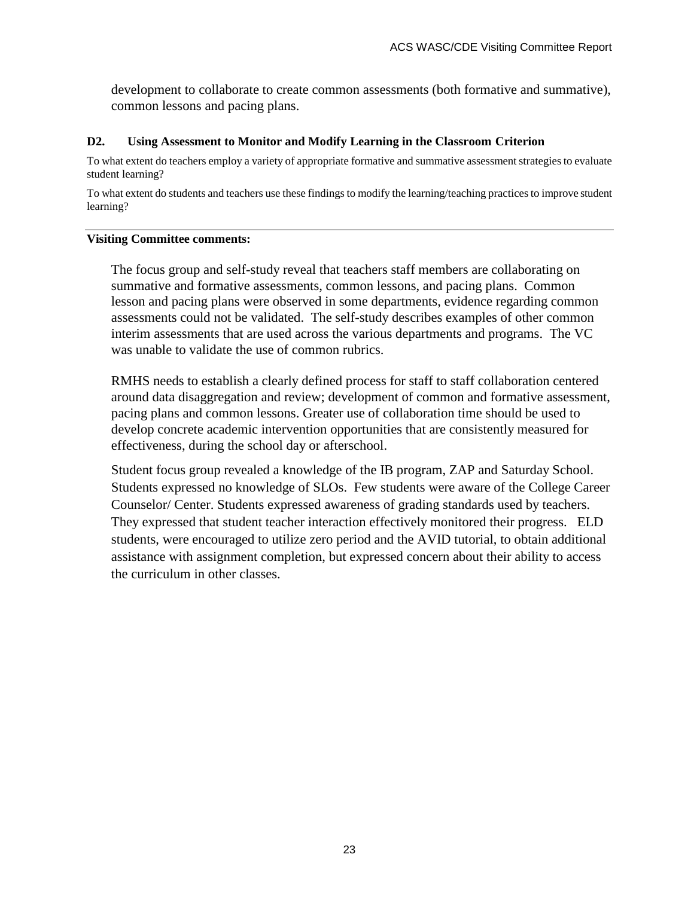development to collaborate to create common assessments (both formative and summative), common lessons and pacing plans.

#### **D2. Using Assessment to Monitor and Modify Learning in the Classroom Criterion**

To what extent do teachers employ a variety of appropriate formative and summative assessment strategies to evaluate student learning?

To what extent do students and teachers use these findings to modify the learning/teaching practices to improve student learning?

#### **Visiting Committee comments:**

The focus group and self-study reveal that teachers staff members are collaborating on summative and formative assessments, common lessons, and pacing plans. Common lesson and pacing plans were observed in some departments, evidence regarding common assessments could not be validated. The self-study describes examples of other common interim assessments that are used across the various departments and programs. The VC was unable to validate the use of common rubrics.

RMHS needs to establish a clearly defined process for staff to staff collaboration centered around data disaggregation and review; development of common and formative assessment, pacing plans and common lessons. Greater use of collaboration time should be used to develop concrete academic intervention opportunities that are consistently measured for effectiveness, during the school day or afterschool.

Student focus group revealed a knowledge of the IB program, ZAP and Saturday School. Students expressed no knowledge of SLOs. Few students were aware of the College Career Counselor/ Center. Students expressed awareness of grading standards used by teachers. They expressed that student teacher interaction effectively monitored their progress. ELD students, were encouraged to utilize zero period and the AVID tutorial, to obtain additional assistance with assignment completion, but expressed concern about their ability to access the curriculum in other classes.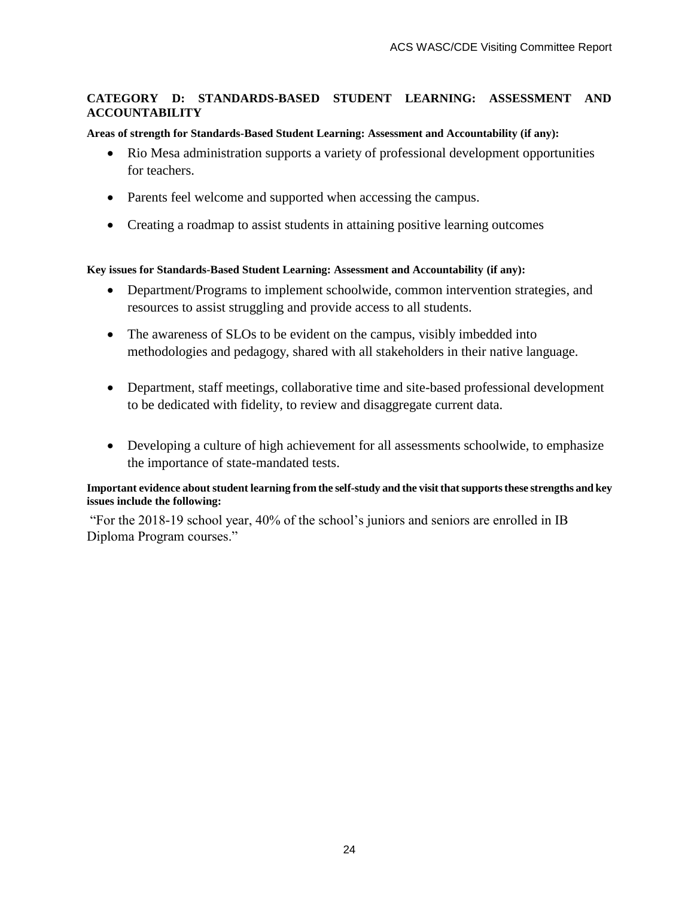#### **CATEGORY D: STANDARDS-BASED STUDENT LEARNING: ASSESSMENT AND ACCOUNTABILITY**

#### **Areas of strength for Standards-Based Student Learning: Assessment and Accountability (if any):**

- Rio Mesa administration supports a variety of professional development opportunities for teachers.
- Parents feel welcome and supported when accessing the campus.
- Creating a roadmap to assist students in attaining positive learning outcomes

#### **Key issues for Standards-Based Student Learning: Assessment and Accountability (if any):**

- Department/Programs to implement schoolwide, common intervention strategies, and resources to assist struggling and provide access to all students.
- The awareness of SLOs to be evident on the campus, visibly imbedded into methodologies and pedagogy, shared with all stakeholders in their native language.
- Department, staff meetings, collaborative time and site-based professional development to be dedicated with fidelity, to review and disaggregate current data.
- Developing a culture of high achievement for all assessments schoolwide, to emphasize the importance of state-mandated tests.

#### **Important evidence about student learning from the self-study and the visit that supports these strengths and key issues include the following:**

"For the 2018-19 school year, 40% of the school's juniors and seniors are enrolled in IB Diploma Program courses."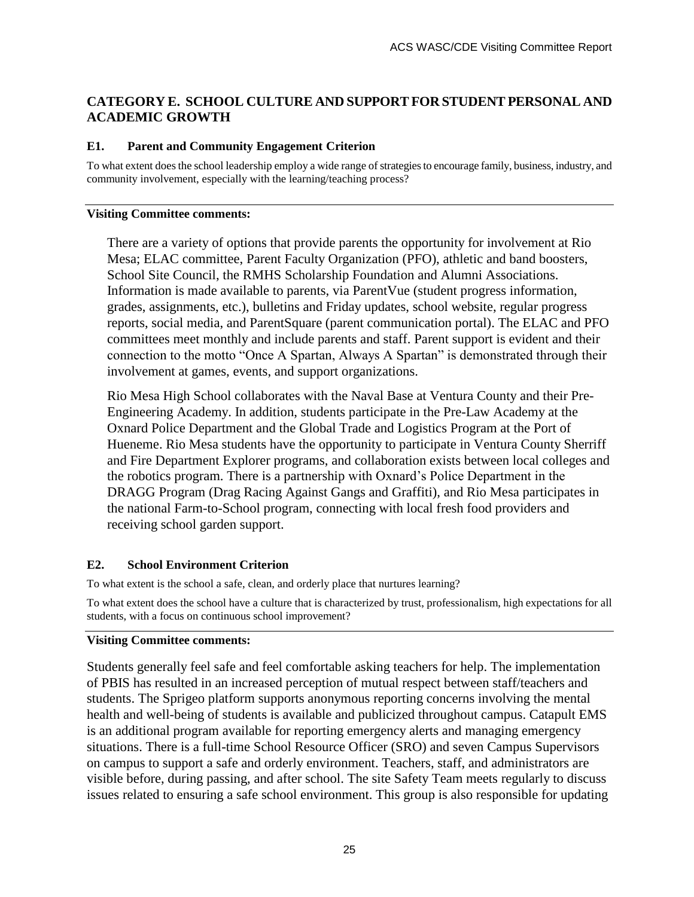## **CATEGORY E. SCHOOL CULTURE AND SUPPORT FOR STUDENT PERSONAL AND ACADEMIC GROWTH**

#### **E1. Parent and Community Engagement Criterion**

To what extent does the school leadership employ a wide range of strategies to encourage family, business, industry, and community involvement, especially with the learning/teaching process?

#### **Visiting Committee comments:**

There are a variety of options that provide parents the opportunity for involvement at Rio Mesa; ELAC committee, Parent Faculty Organization (PFO), athletic and band boosters, School Site Council, the RMHS Scholarship Foundation and Alumni Associations. Information is made available to parents, via ParentVue (student progress information, grades, assignments, etc.), bulletins and Friday updates, school website, regular progress reports, social media, and ParentSquare (parent communication portal). The ELAC and PFO committees meet monthly and include parents and staff. Parent support is evident and their connection to the motto "Once A Spartan, Always A Spartan" is demonstrated through their involvement at games, events, and support organizations.

Rio Mesa High School collaborates with the Naval Base at Ventura County and their Pre-Engineering Academy. In addition, students participate in the Pre-Law Academy at the Oxnard Police Department and the Global Trade and Logistics Program at the Port of Hueneme. Rio Mesa students have the opportunity to participate in Ventura County Sherriff and Fire Department Explorer programs, and collaboration exists between local colleges and the robotics program. There is a partnership with Oxnard's Police Department in the DRAGG Program (Drag Racing Against Gangs and Graffiti), and Rio Mesa participates in the national Farm-to-School program, connecting with local fresh food providers and receiving school garden support.

#### **E2. School Environment Criterion**

To what extent is the school a safe, clean, and orderly place that nurtures learning?

To what extent does the school have a culture that is characterized by trust, professionalism, high expectations for all students, with a focus on continuous school improvement?

#### **Visiting Committee comments:**

Students generally feel safe and feel comfortable asking teachers for help. The implementation of PBIS has resulted in an increased perception of mutual respect between staff/teachers and students. The Sprigeo platform supports anonymous reporting concerns involving the mental health and well-being of students is available and publicized throughout campus. Catapult EMS is an additional program available for reporting emergency alerts and managing emergency situations. There is a full-time School Resource Officer (SRO) and seven Campus Supervisors on campus to support a safe and orderly environment. Teachers, staff, and administrators are visible before, during passing, and after school. The site Safety Team meets regularly to discuss issues related to ensuring a safe school environment. This group is also responsible for updating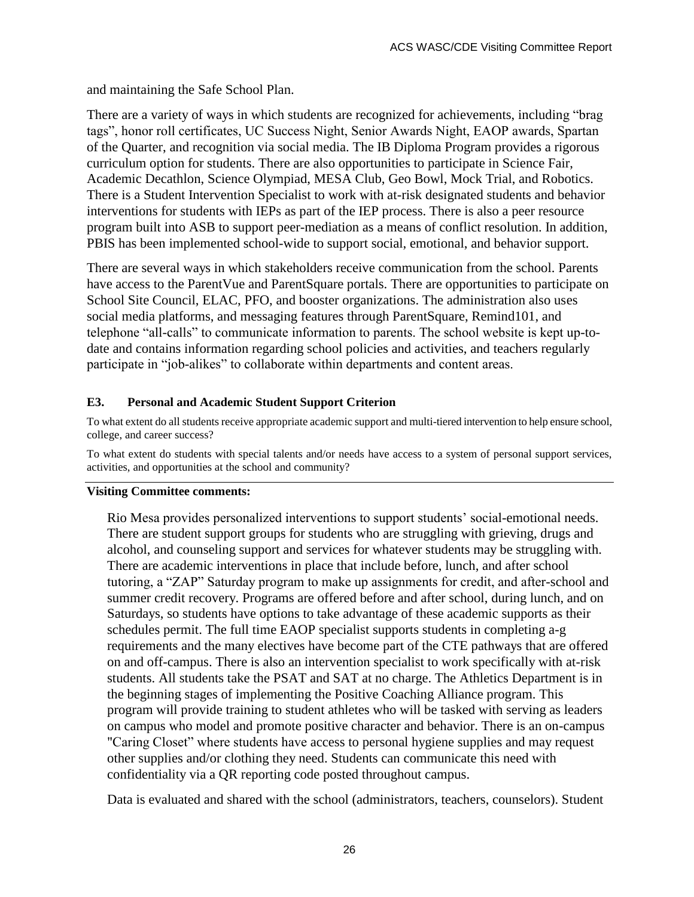and maintaining the Safe School Plan.

There are a variety of ways in which students are recognized for achievements, including "brag tags", honor roll certificates, UC Success Night, Senior Awards Night, EAOP awards, Spartan of the Quarter, and recognition via social media. The IB Diploma Program provides a rigorous curriculum option for students. There are also opportunities to participate in Science Fair, Academic Decathlon, Science Olympiad, MESA Club, Geo Bowl, Mock Trial, and Robotics. There is a Student Intervention Specialist to work with at-risk designated students and behavior interventions for students with IEPs as part of the IEP process. There is also a peer resource program built into ASB to support peer-mediation as a means of conflict resolution. In addition, PBIS has been implemented school-wide to support social, emotional, and behavior support.

There are several ways in which stakeholders receive communication from the school. Parents have access to the ParentVue and ParentSquare portals. There are opportunities to participate on School Site Council, ELAC, PFO, and booster organizations. The administration also uses social media platforms, and messaging features through ParentSquare, Remind101, and telephone "all-calls" to communicate information to parents. The school website is kept up-todate and contains information regarding school policies and activities, and teachers regularly participate in "job-alikes" to collaborate within departments and content areas.

#### **E3. Personal and Academic Student Support Criterion**

To what extent do all students receive appropriate academic support and multi-tiered intervention to help ensure school, college, and career success?

To what extent do students with special talents and/or needs have access to a system of personal support services, activities, and opportunities at the school and community?

#### **Visiting Committee comments:**

Rio Mesa provides personalized interventions to support students' social-emotional needs. There are student support groups for students who are struggling with grieving, drugs and alcohol, and counseling support and services for whatever students may be struggling with. There are academic interventions in place that include before, lunch, and after school tutoring, a "ZAP" Saturday program to make up assignments for credit, and after-school and summer credit recovery. Programs are offered before and after school, during lunch, and on Saturdays, so students have options to take advantage of these academic supports as their schedules permit. The full time EAOP specialist supports students in completing a-g requirements and the many electives have become part of the CTE pathways that are offered on and off-campus. There is also an intervention specialist to work specifically with at-risk students. All students take the PSAT and SAT at no charge. The Athletics Department is in the beginning stages of implementing the Positive Coaching Alliance program. This program will provide training to student athletes who will be tasked with serving as leaders on campus who model and promote positive character and behavior. There is an on-campus "Caring Closet" where students have access to personal hygiene supplies and may request other supplies and/or clothing they need. Students can communicate this need with confidentiality via a QR reporting code posted throughout campus.

Data is evaluated and shared with the school (administrators, teachers, counselors). Student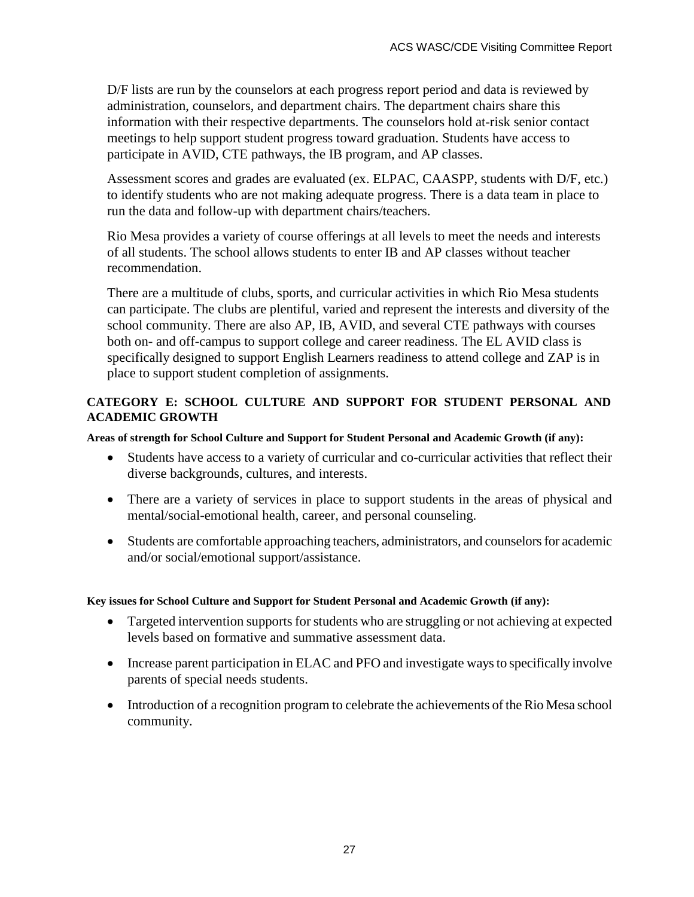D/F lists are run by the counselors at each progress report period and data is reviewed by administration, counselors, and department chairs. The department chairs share this information with their respective departments. The counselors hold at-risk senior contact meetings to help support student progress toward graduation. Students have access to participate in AVID, CTE pathways, the IB program, and AP classes.

Assessment scores and grades are evaluated (ex. ELPAC, CAASPP, students with D/F, etc.) to identify students who are not making adequate progress. There is a data team in place to run the data and follow-up with department chairs/teachers.

Rio Mesa provides a variety of course offerings at all levels to meet the needs and interests of all students. The school allows students to enter IB and AP classes without teacher recommendation.

There are a multitude of clubs, sports, and curricular activities in which Rio Mesa students can participate. The clubs are plentiful, varied and represent the interests and diversity of the school community. There are also AP, IB, AVID, and several CTE pathways with courses both on- and off-campus to support college and career readiness. The EL AVID class is specifically designed to support English Learners readiness to attend college and ZAP is in place to support student completion of assignments.

#### **CATEGORY E: SCHOOL CULTURE AND SUPPORT FOR STUDENT PERSONAL AND ACADEMIC GROWTH**

#### **Areas of strength for School Culture and Support for Student Personal and Academic Growth (if any):**

- Students have access to a variety of curricular and co-curricular activities that reflect their diverse backgrounds, cultures, and interests.
- There are a variety of services in place to support students in the areas of physical and mental/social-emotional health, career, and personal counseling.
- Students are comfortable approaching teachers, administrators, and counselors for academic and/or social/emotional support/assistance.

#### **Key issues for School Culture and Support for Student Personal and Academic Growth (if any):**

- Targeted intervention supports for students who are struggling or not achieving at expected levels based on formative and summative assessment data.
- Increase parent participation in ELAC and PFO and investigate ways to specifically involve parents of special needs students.
- Introduction of a recognition program to celebrate the achievements of the Rio Mesa school community.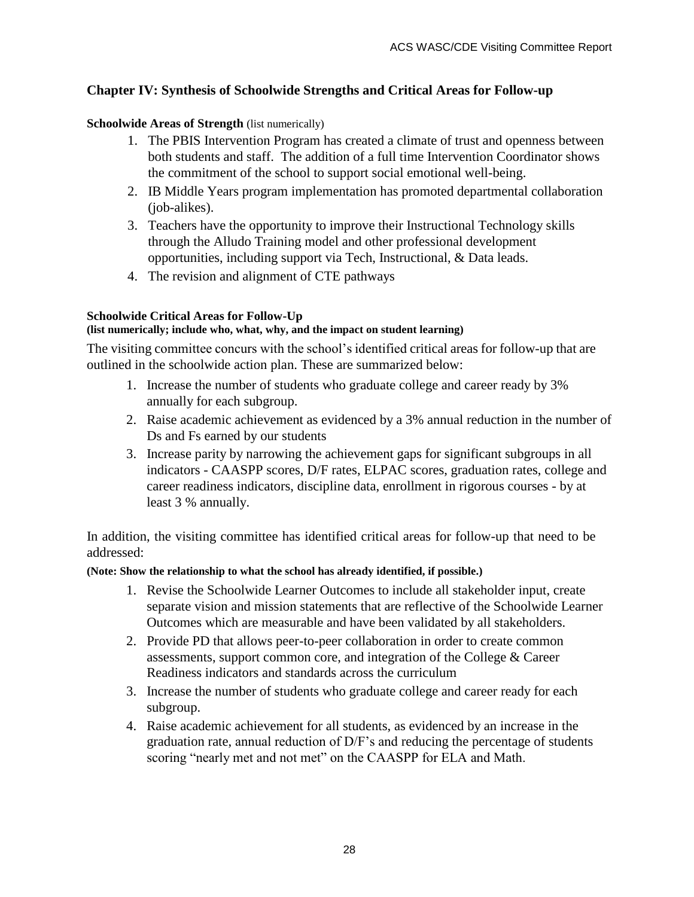## **Chapter IV: Synthesis of Schoolwide Strengths and Critical Areas for Follow-up**

### **Schoolwide Areas of Strength** (list numerically)

- 1. The PBIS Intervention Program has created a climate of trust and openness between both students and staff. The addition of a full time Intervention Coordinator shows the commitment of the school to support social emotional well-being.
- 2. IB Middle Years program implementation has promoted departmental collaboration (job-alikes).
- 3. Teachers have the opportunity to improve their Instructional Technology skills through the Alludo Training model and other professional development opportunities, including support via Tech, Instructional, & Data leads.
- 4. The revision and alignment of CTE pathways

#### **Schoolwide Critical Areas for Follow-Up**

#### **(list numerically; include who, what, why, and the impact on student learning)**

The visiting committee concurs with the school's identified critical areas for follow-up that are outlined in the schoolwide action plan. These are summarized below:

- 1. Increase the number of students who graduate college and career ready by 3% annually for each subgroup.
- 2. Raise academic achievement as evidenced by a 3% annual reduction in the number of Ds and Fs earned by our students
- 3. Increase parity by narrowing the achievement gaps for significant subgroups in all indicators - CAASPP scores, D/F rates, ELPAC scores, graduation rates, college and career readiness indicators, discipline data, enrollment in rigorous courses - by at least 3 % annually.

In addition, the visiting committee has identified critical areas for follow-up that need to be addressed:

#### **(Note: Show the relationship to what the school has already identified, if possible.)**

- 1. Revise the Schoolwide Learner Outcomes to include all stakeholder input, create separate vision and mission statements that are reflective of the Schoolwide Learner Outcomes which are measurable and have been validated by all stakeholders.
- 2. Provide PD that allows peer-to-peer collaboration in order to create common assessments, support common core, and integration of the College & Career Readiness indicators and standards across the curriculum
- 3. Increase the number of students who graduate college and career ready for each subgroup.
- 4. Raise academic achievement for all students, as evidenced by an increase in the graduation rate, annual reduction of D/F's and reducing the percentage of students scoring "nearly met and not met" on the CAASPP for ELA and Math.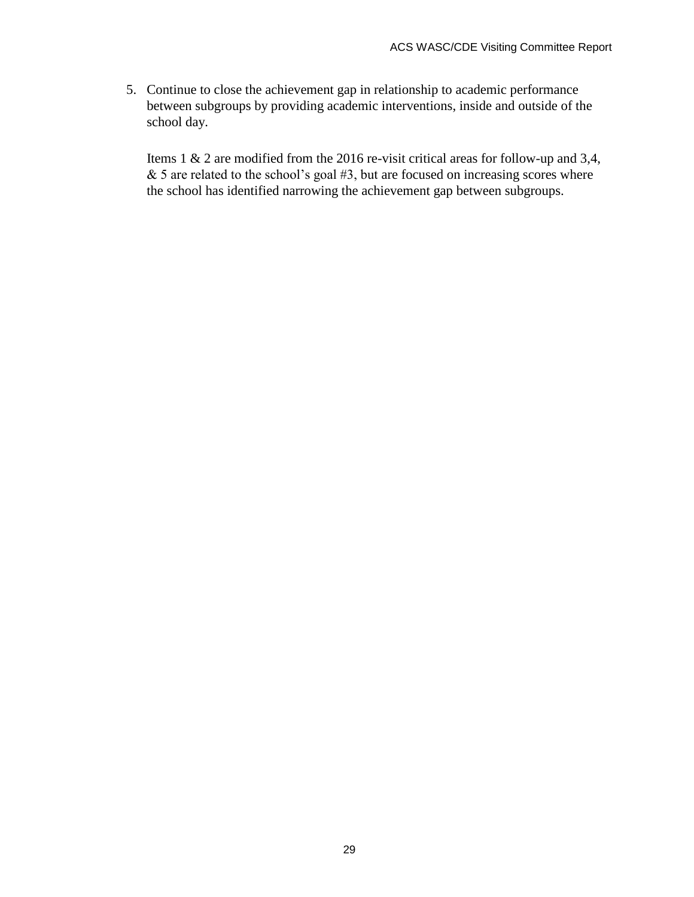5. Continue to close the achievement gap in relationship to academic performance between subgroups by providing academic interventions, inside and outside of the school day.

Items 1 & 2 are modified from the 2016 re-visit critical areas for follow-up and 3,4,  $& 5$  are related to the school's goal  $#3$ , but are focused on increasing scores where the school has identified narrowing the achievement gap between subgroups.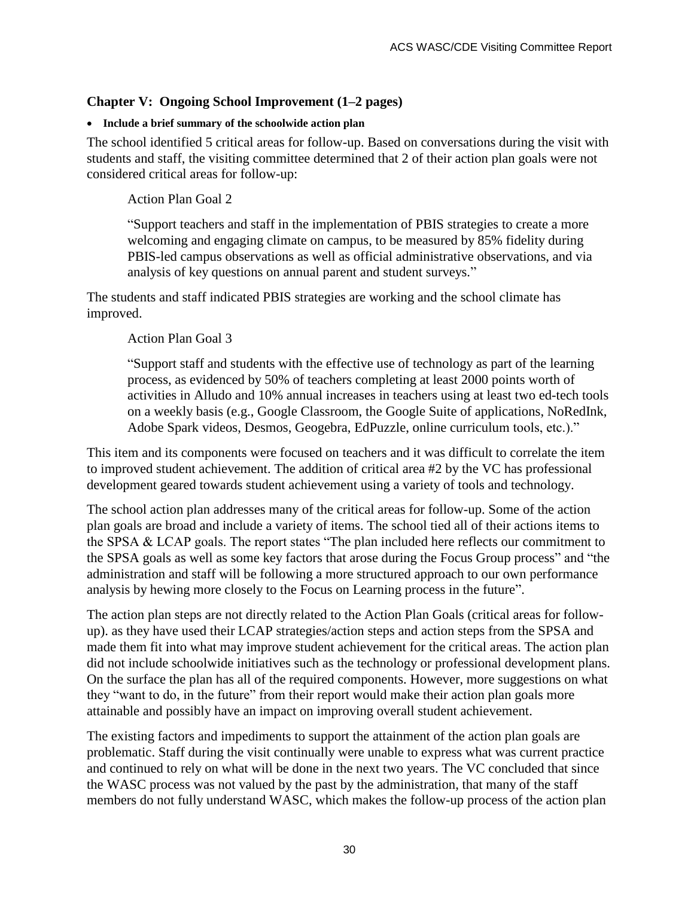## **Chapter V: Ongoing School Improvement (1–2 pages)**

#### **Include a brief summary of the schoolwide action plan**

The school identified 5 critical areas for follow-up. Based on conversations during the visit with students and staff, the visiting committee determined that 2 of their action plan goals were not considered critical areas for follow-up:

Action Plan Goal 2

"Support teachers and staff in the implementation of PBIS strategies to create a more welcoming and engaging climate on campus, to be measured by 85% fidelity during PBIS-led campus observations as well as official administrative observations, and via analysis of key questions on annual parent and student surveys."

The students and staff indicated PBIS strategies are working and the school climate has improved.

#### Action Plan Goal 3

"Support staff and students with the effective use of technology as part of the learning process, as evidenced by 50% of teachers completing at least 2000 points worth of activities in Alludo and 10% annual increases in teachers using at least two ed-tech tools on a weekly basis (e.g., Google Classroom, the Google Suite of applications, NoRedInk, Adobe Spark videos, Desmos, Geogebra, EdPuzzle, online curriculum tools, etc.)."

This item and its components were focused on teachers and it was difficult to correlate the item to improved student achievement. The addition of critical area #2 by the VC has professional development geared towards student achievement using a variety of tools and technology.

The school action plan addresses many of the critical areas for follow-up. Some of the action plan goals are broad and include a variety of items. The school tied all of their actions items to the SPSA & LCAP goals. The report states "The plan included here reflects our commitment to the SPSA goals as well as some key factors that arose during the Focus Group process" and "the administration and staff will be following a more structured approach to our own performance analysis by hewing more closely to the Focus on Learning process in the future".

The action plan steps are not directly related to the Action Plan Goals (critical areas for followup). as they have used their LCAP strategies/action steps and action steps from the SPSA and made them fit into what may improve student achievement for the critical areas. The action plan did not include schoolwide initiatives such as the technology or professional development plans. On the surface the plan has all of the required components. However, more suggestions on what they "want to do, in the future" from their report would make their action plan goals more attainable and possibly have an impact on improving overall student achievement.

The existing factors and impediments to support the attainment of the action plan goals are problematic. Staff during the visit continually were unable to express what was current practice and continued to rely on what will be done in the next two years. The VC concluded that since the WASC process was not valued by the past by the administration, that many of the staff members do not fully understand WASC, which makes the follow-up process of the action plan